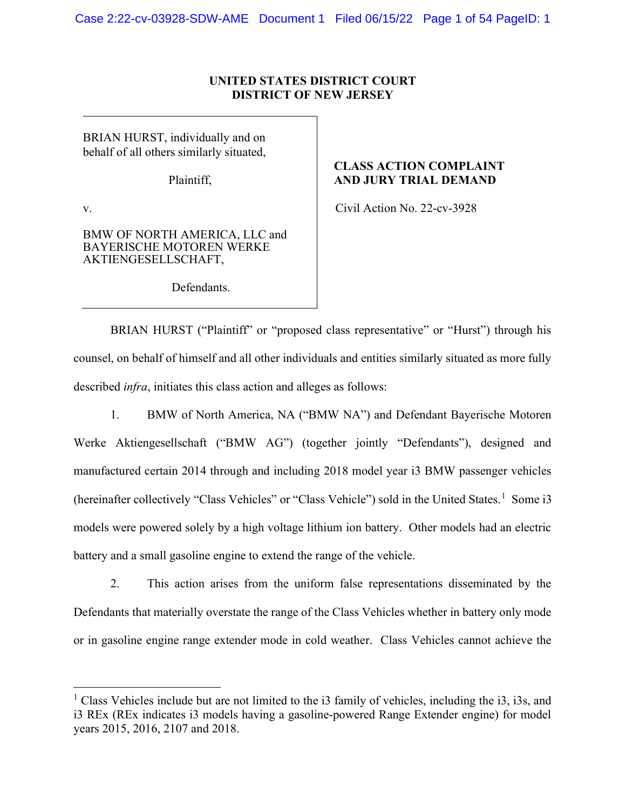## UNITED STATES DISTRICT COURT DISTRICT OF NEW JERSEY

BRIAN HURST, individually and on behalf of all others similarly situated,

Plaintiff,

v.

BMW OF NORTH AMERICA, LLC and BAYERISCHE MOTOREN WERKE AKTIENGESELLSCHAFT,

Defendants.

## CLASS ACTION COMPLAINT AND JURY TRIAL DEMAND

Civil Action No. 22-cv-3928

BRIAN HURST ("Plaintiff" or "proposed class representative" or "Hurst") through his counsel, on behalf of himself and all other individuals and entities similarly situated as more fully described infra, initiates this class action and alleges as follows:

1. BMW of North America, NA ("BMW NA") and Defendant Bayerische Motoren Werke Aktiengesellschaft ("BMW AG") (together jointly "Defendants"), designed and manufactured certain 2014 through and including 2018 model year i3 BMW passenger vehicles (hereinafter collectively "Class Vehicles" or "Class Vehicle") sold in the United States.<sup>1</sup> Some i3 models were powered solely by a high voltage lithium ion battery. Other models had an electric battery and a small gasoline engine to extend the range of the vehicle.

2. This action arises from the uniform false representations disseminated by the Defendants that materially overstate the range of the Class Vehicles whether in battery only mode or in gasoline engine range extender mode in cold weather. Class Vehicles cannot achieve the

<sup>&</sup>lt;sup>1</sup> Class Vehicles include but are not limited to the i3 family of vehicles, including the i3, i3s, and i3 REx (REx indicates i3 models having a gasoline-powered Range Extender engine) for model years 2015, 2016, 2107 and 2018.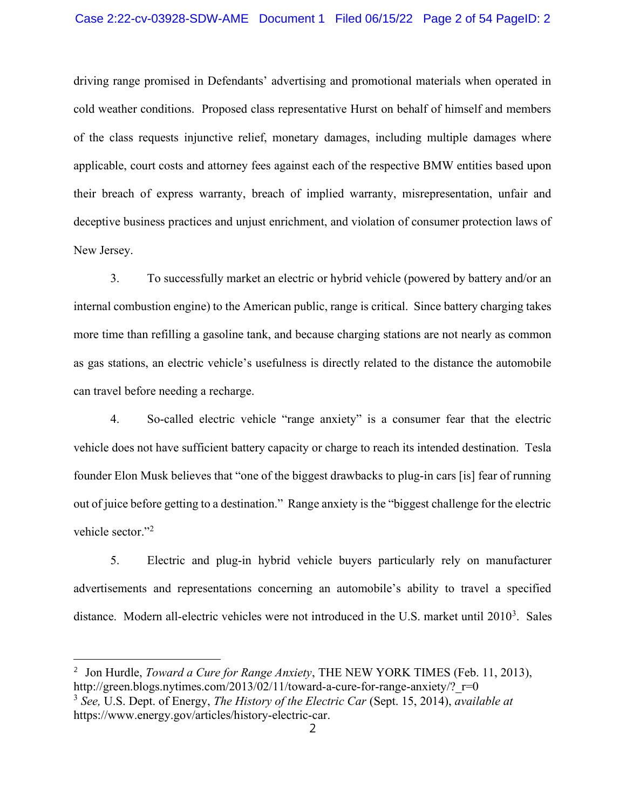#### Case 2:22-cv-03928-SDW-AME Document 1 Filed 06/15/22 Page 2 of 54 PageID: 2

driving range promised in Defendants' advertising and promotional materials when operated in cold weather conditions. Proposed class representative Hurst on behalf of himself and members of the class requests injunctive relief, monetary damages, including multiple damages where applicable, court costs and attorney fees against each of the respective BMW entities based upon their breach of express warranty, breach of implied warranty, misrepresentation, unfair and deceptive business practices and unjust enrichment, and violation of consumer protection laws of New Jersey.

3. To successfully market an electric or hybrid vehicle (powered by battery and/or an internal combustion engine) to the American public, range is critical. Since battery charging takes more time than refilling a gasoline tank, and because charging stations are not nearly as common as gas stations, an electric vehicle's usefulness is directly related to the distance the automobile can travel before needing a recharge.

4. So-called electric vehicle "range anxiety" is a consumer fear that the electric vehicle does not have sufficient battery capacity or charge to reach its intended destination. Tesla founder Elon Musk believes that "one of the biggest drawbacks to plug-in cars [is] fear of running out of juice before getting to a destination." Range anxiety is the "biggest challenge for the electric vehicle sector."<sup>2</sup>

5. Electric and plug-in hybrid vehicle buyers particularly rely on manufacturer advertisements and representations concerning an automobile's ability to travel a specified distance. Modern all-electric vehicles were not introduced in the U.S. market until  $2010<sup>3</sup>$ . Sales

<sup>&</sup>lt;sup>2</sup> Jon Hurdle, *Toward a Cure for Range Anxiety*, THE NEW YORK TIMES (Feb. 11, 2013), http://green.blogs.nytimes.com/2013/02/11/toward-a-cure-for-range-anxiety/? $r=0$ 

 $3$  See, U.S. Dept. of Energy, The History of the Electric Car (Sept. 15, 2014), available at https://www.energy.gov/articles/history-electric-car.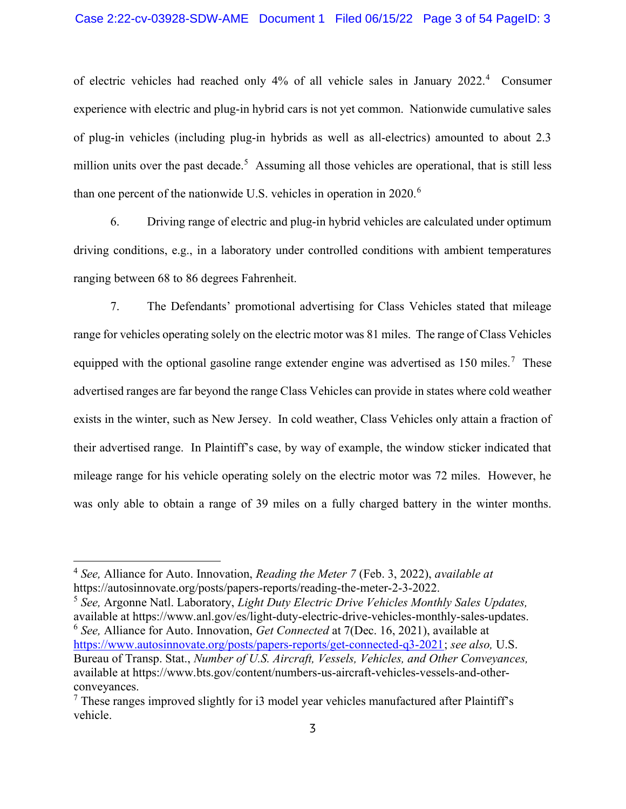of electric vehicles had reached only 4% of all vehicle sales in January 2022.<sup>4</sup> Consumer experience with electric and plug-in hybrid cars is not yet common. Nationwide cumulative sales of plug-in vehicles (including plug-in hybrids as well as all-electrics) amounted to about 2.3 million units over the past decade.<sup>5</sup> Assuming all those vehicles are operational, that is still less than one percent of the nationwide U.S. vehicles in operation in 2020.<sup>6</sup>

6. Driving range of electric and plug-in hybrid vehicles are calculated under optimum driving conditions, e.g., in a laboratory under controlled conditions with ambient temperatures ranging between 68 to 86 degrees Fahrenheit.

7. The Defendants' promotional advertising for Class Vehicles stated that mileage range for vehicles operating solely on the electric motor was 81 miles. The range of Class Vehicles equipped with the optional gasoline range extender engine was advertised as 150 miles.<sup>7</sup> These advertised ranges are far beyond the range Class Vehicles can provide in states where cold weather exists in the winter, such as New Jersey. In cold weather, Class Vehicles only attain a fraction of their advertised range. In Plaintiff's case, by way of example, the window sticker indicated that mileage range for his vehicle operating solely on the electric motor was 72 miles. However, he was only able to obtain a range of 39 miles on a fully charged battery in the winter months.

 $5$  See, Argonne Natl. Laboratory, *Light Duty Electric Drive Vehicles Monthly Sales Updates*, available at https://www.anl.gov/es/light-duty-electric-drive-vehicles-monthly-sales-updates.  $6$  See, Alliance for Auto. Innovation, Get Connected at 7(Dec. 16, 2021), available at https://www.autosinnovate.org/posts/papers-reports/get-connected-q3-2021; see also, U.S. Bureau of Transp. Stat., Number of U.S. Aircraft, Vessels, Vehicles, and Other Conveyances, available at https://www.bts.gov/content/numbers-us-aircraft-vehicles-vessels-and-otherconveyances.

 $4$  See, Alliance for Auto. Innovation, Reading the Meter 7 (Feb. 3, 2022), available at https://autosinnovate.org/posts/papers-reports/reading-the-meter-2-3-2022.

 $7$  These ranges improved slightly for i3 model year vehicles manufactured after Plaintiff's vehicle.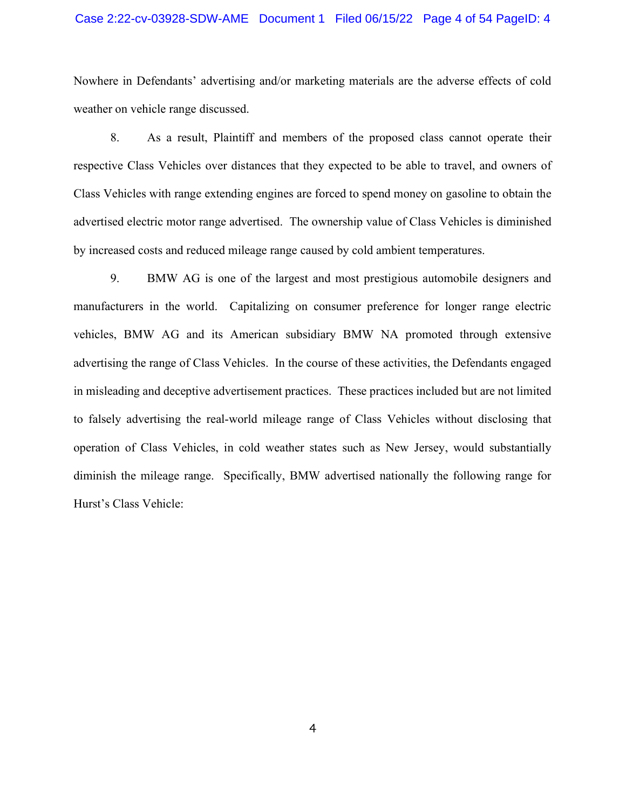#### Case 2:22-cv-03928-SDW-AME Document 1 Filed 06/15/22 Page 4 of 54 PageID: 4

Nowhere in Defendants' advertising and/or marketing materials are the adverse effects of cold weather on vehicle range discussed.

8. As a result, Plaintiff and members of the proposed class cannot operate their respective Class Vehicles over distances that they expected to be able to travel, and owners of Class Vehicles with range extending engines are forced to spend money on gasoline to obtain the advertised electric motor range advertised. The ownership value of Class Vehicles is diminished by increased costs and reduced mileage range caused by cold ambient temperatures.

9. BMW AG is one of the largest and most prestigious automobile designers and manufacturers in the world. Capitalizing on consumer preference for longer range electric vehicles, BMW AG and its American subsidiary BMW NA promoted through extensive advertising the range of Class Vehicles. In the course of these activities, the Defendants engaged in misleading and deceptive advertisement practices. These practices included but are not limited to falsely advertising the real-world mileage range of Class Vehicles without disclosing that operation of Class Vehicles, in cold weather states such as New Jersey, would substantially diminish the mileage range. Specifically, BMW advertised nationally the following range for Hurst's Class Vehicle: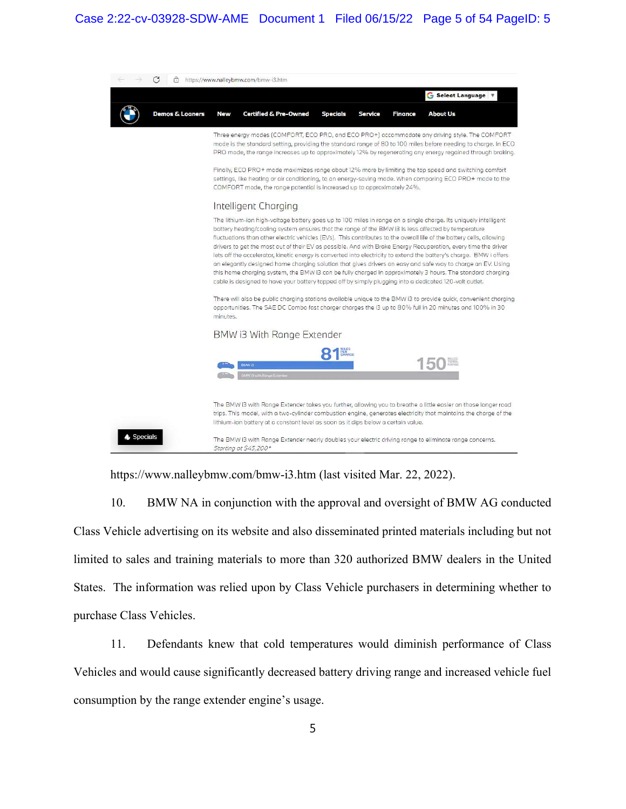

https://www.nalleybmw.com/bmw-i3.htm (last visited Mar. 22, 2022).

10. BMW NA in conjunction with the approval and oversight of BMW AG conducted Class Vehicle advertising on its website and also disseminated printed materials including but not limited to sales and training materials to more than 320 authorized BMW dealers in the United States. The information was relied upon by Class Vehicle purchasers in determining whether to purchase Class Vehicles.

11. Defendants knew that cold temperatures would diminish performance of Class Vehicles and would cause significantly decreased battery driving range and increased vehicle fuel consumption by the range extender engine's usage.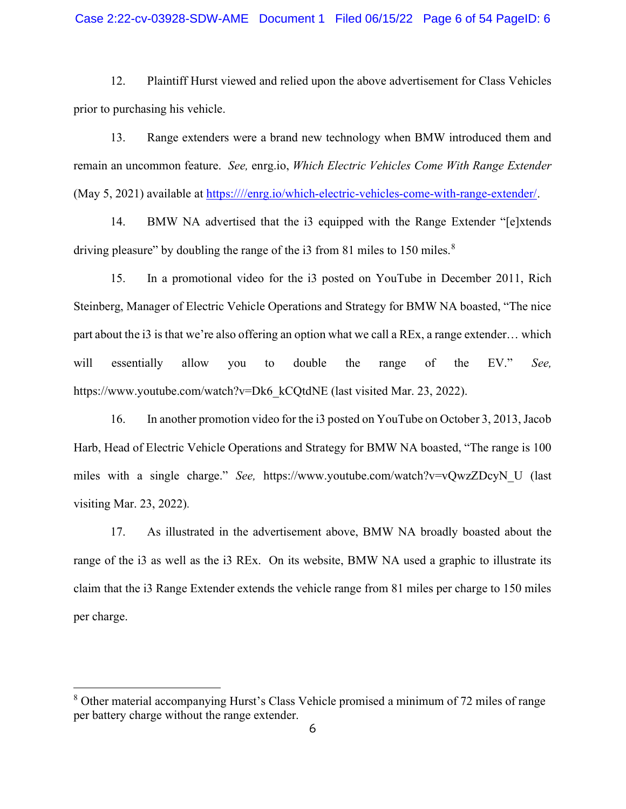#### Case 2:22-cv-03928-SDW-AME Document 1 Filed 06/15/22 Page 6 of 54 PageID: 6

12. Plaintiff Hurst viewed and relied upon the above advertisement for Class Vehicles prior to purchasing his vehicle.

13. Range extenders were a brand new technology when BMW introduced them and remain an uncommon feature. See, enrg.io, Which Electric Vehicles Come With Range Extender (May 5, 2021) available at https:////enrg.io/which-electric-vehicles-come-with-range-extender/.

14. BMW NA advertised that the i3 equipped with the Range Extender "[e]xtends driving pleasure" by doubling the range of the i3 from 81 miles to 150 miles. $8$ 

15. In a promotional video for the i3 posted on YouTube in December 2011, Rich Steinberg, Manager of Electric Vehicle Operations and Strategy for BMW NA boasted, "The nice part about the i3 is that we're also offering an option what we call a REx, a range extender… which will essentially allow you to double the range of the EV." See, https://www.youtube.com/watch?v=Dk6\_kCQtdNE (last visited Mar. 23, 2022).

16. In another promotion video for the i3 posted on YouTube on October 3, 2013, Jacob Harb, Head of Electric Vehicle Operations and Strategy for BMW NA boasted, "The range is 100 miles with a single charge." See, https://www.youtube.com/watch?v=vQwzZDcyN\_U (last visiting Mar. 23, 2022).

17. As illustrated in the advertisement above, BMW NA broadly boasted about the range of the i3 as well as the i3 REx. On its website, BMW NA used a graphic to illustrate its claim that the i3 Range Extender extends the vehicle range from 81 miles per charge to 150 miles per charge.

<sup>&</sup>lt;sup>8</sup> Other material accompanying Hurst's Class Vehicle promised a minimum of 72 miles of range per battery charge without the range extender.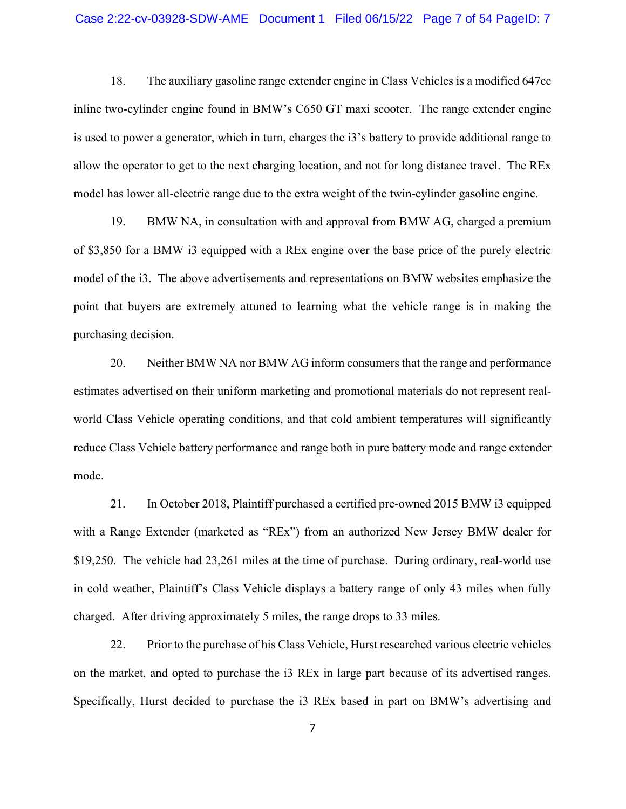18. The auxiliary gasoline range extender engine in Class Vehicles is a modified 647cc inline two-cylinder engine found in BMW's C650 GT maxi scooter. The range extender engine is used to power a generator, which in turn, charges the i3's battery to provide additional range to allow the operator to get to the next charging location, and not for long distance travel. The REx model has lower all-electric range due to the extra weight of the twin-cylinder gasoline engine.

19. BMW NA, in consultation with and approval from BMW AG, charged a premium of \$3,850 for a BMW i3 equipped with a REx engine over the base price of the purely electric model of the i3. The above advertisements and representations on BMW websites emphasize the point that buyers are extremely attuned to learning what the vehicle range is in making the purchasing decision.

20. Neither BMW NA nor BMW AG inform consumers that the range and performance estimates advertised on their uniform marketing and promotional materials do not represent realworld Class Vehicle operating conditions, and that cold ambient temperatures will significantly reduce Class Vehicle battery performance and range both in pure battery mode and range extender mode.

21. In October 2018, Plaintiff purchased a certified pre-owned 2015 BMW i3 equipped with a Range Extender (marketed as "REx") from an authorized New Jersey BMW dealer for \$19,250. The vehicle had 23,261 miles at the time of purchase. During ordinary, real-world use in cold weather, Plaintiff's Class Vehicle displays a battery range of only 43 miles when fully charged. After driving approximately 5 miles, the range drops to 33 miles.

22. Prior to the purchase of his Class Vehicle, Hurst researched various electric vehicles on the market, and opted to purchase the i3 REx in large part because of its advertised ranges. Specifically, Hurst decided to purchase the i3 REx based in part on BMW's advertising and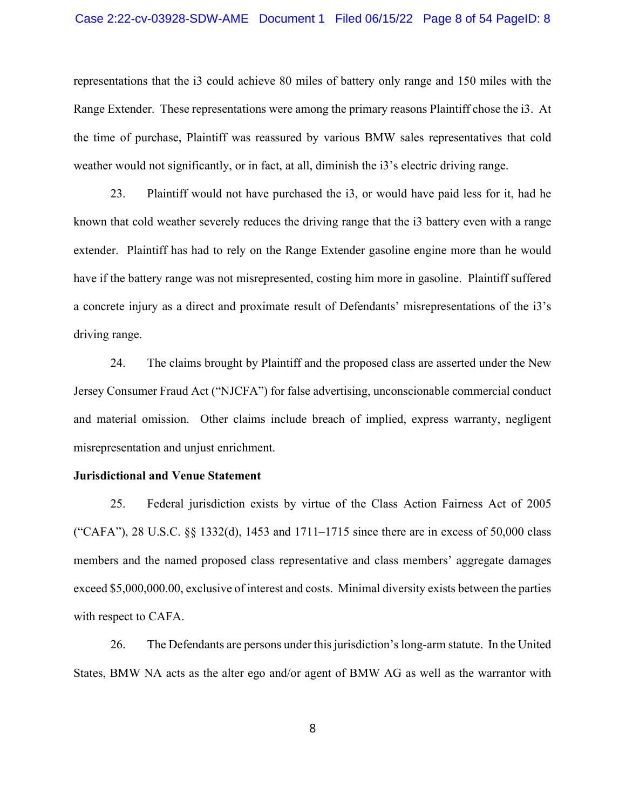#### Case 2:22-cv-03928-SDW-AME Document 1 Filed 06/15/22 Page 8 of 54 PageID: 8

representations that the i3 could achieve 80 miles of battery only range and 150 miles with the Range Extender. These representations were among the primary reasons Plaintiff chose the i3. At the time of purchase, Plaintiff was reassured by various BMW sales representatives that cold weather would not significantly, or in fact, at all, diminish the i3's electric driving range.

23. Plaintiff would not have purchased the i3, or would have paid less for it, had he known that cold weather severely reduces the driving range that the i3 battery even with a range extender. Plaintiff has had to rely on the Range Extender gasoline engine more than he would have if the battery range was not misrepresented, costing him more in gasoline. Plaintiff suffered a concrete injury as a direct and proximate result of Defendants' misrepresentations of the i3's driving range.

24. The claims brought by Plaintiff and the proposed class are asserted under the New Jersey Consumer Fraud Act ("NJCFA") for false advertising, unconscionable commercial conduct and material omission. Other claims include breach of implied, express warranty, negligent misrepresentation and unjust enrichment.

#### Jurisdictional and Venue Statement

25. Federal jurisdiction exists by virtue of the Class Action Fairness Act of 2005 ("CAFA"), 28 U.S.C. §§ 1332(d), 1453 and 1711–1715 since there are in excess of 50,000 class members and the named proposed class representative and class members' aggregate damages exceed \$5,000,000.00, exclusive of interest and costs. Minimal diversity exists between the parties with respect to CAFA.

26. The Defendants are persons under this jurisdiction's long-arm statute. In the United States, BMW NA acts as the alter ego and/or agent of BMW AG as well as the warrantor with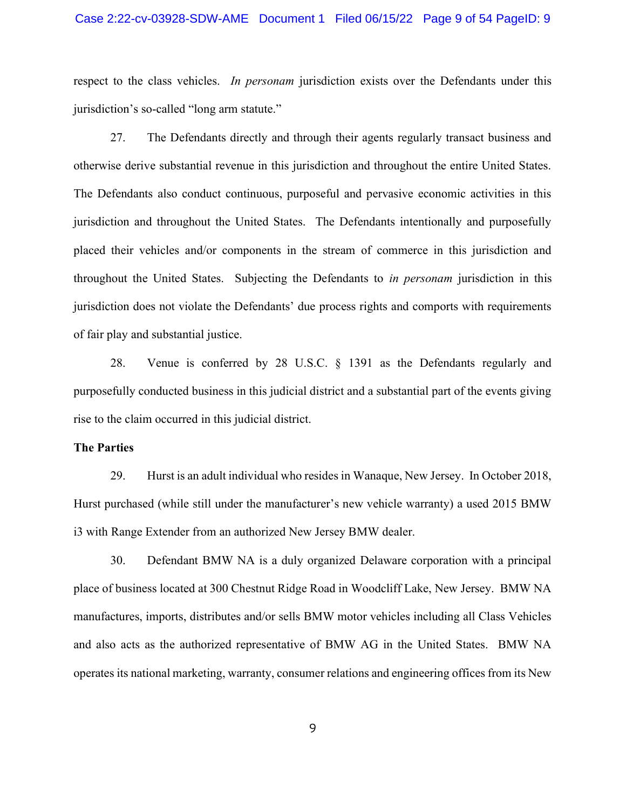#### Case 2:22-cv-03928-SDW-AME Document 1 Filed 06/15/22 Page 9 of 54 PageID: 9

respect to the class vehicles. In personam jurisdiction exists over the Defendants under this jurisdiction's so-called "long arm statute."

27. The Defendants directly and through their agents regularly transact business and otherwise derive substantial revenue in this jurisdiction and throughout the entire United States. The Defendants also conduct continuous, purposeful and pervasive economic activities in this jurisdiction and throughout the United States. The Defendants intentionally and purposefully placed their vehicles and/or components in the stream of commerce in this jurisdiction and throughout the United States. Subjecting the Defendants to in personam jurisdiction in this jurisdiction does not violate the Defendants' due process rights and comports with requirements of fair play and substantial justice.

28. Venue is conferred by 28 U.S.C. § 1391 as the Defendants regularly and purposefully conducted business in this judicial district and a substantial part of the events giving rise to the claim occurred in this judicial district.

#### The Parties

29. Hurst is an adult individual who resides in Wanaque, New Jersey. In October 2018, Hurst purchased (while still under the manufacturer's new vehicle warranty) a used 2015 BMW i3 with Range Extender from an authorized New Jersey BMW dealer.

30. Defendant BMW NA is a duly organized Delaware corporation with a principal place of business located at 300 Chestnut Ridge Road in Woodcliff Lake, New Jersey. BMW NA manufactures, imports, distributes and/or sells BMW motor vehicles including all Class Vehicles and also acts as the authorized representative of BMW AG in the United States. BMW NA operates its national marketing, warranty, consumer relations and engineering offices from its New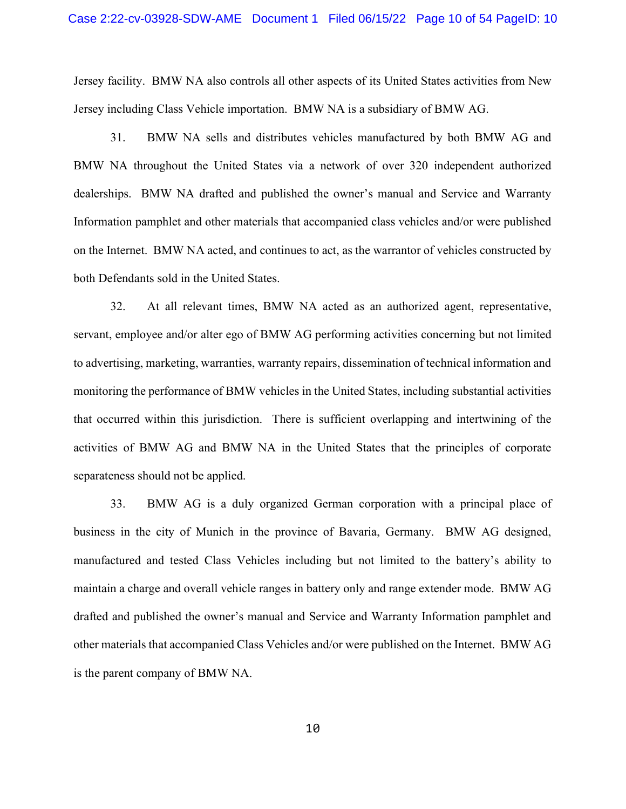Jersey facility. BMW NA also controls all other aspects of its United States activities from New Jersey including Class Vehicle importation. BMW NA is a subsidiary of BMW AG.

31. BMW NA sells and distributes vehicles manufactured by both BMW AG and BMW NA throughout the United States via a network of over 320 independent authorized dealerships. BMW NA drafted and published the owner's manual and Service and Warranty Information pamphlet and other materials that accompanied class vehicles and/or were published on the Internet. BMW NA acted, and continues to act, as the warrantor of vehicles constructed by both Defendants sold in the United States.

32. At all relevant times, BMW NA acted as an authorized agent, representative, servant, employee and/or alter ego of BMW AG performing activities concerning but not limited to advertising, marketing, warranties, warranty repairs, dissemination of technical information and monitoring the performance of BMW vehicles in the United States, including substantial activities that occurred within this jurisdiction. There is sufficient overlapping and intertwining of the activities of BMW AG and BMW NA in the United States that the principles of corporate separateness should not be applied.

33. BMW AG is a duly organized German corporation with a principal place of business in the city of Munich in the province of Bavaria, Germany. BMW AG designed, manufactured and tested Class Vehicles including but not limited to the battery's ability to maintain a charge and overall vehicle ranges in battery only and range extender mode. BMW AG drafted and published the owner's manual and Service and Warranty Information pamphlet and other materials that accompanied Class Vehicles and/or were published on the Internet. BMW AG is the parent company of BMW NA.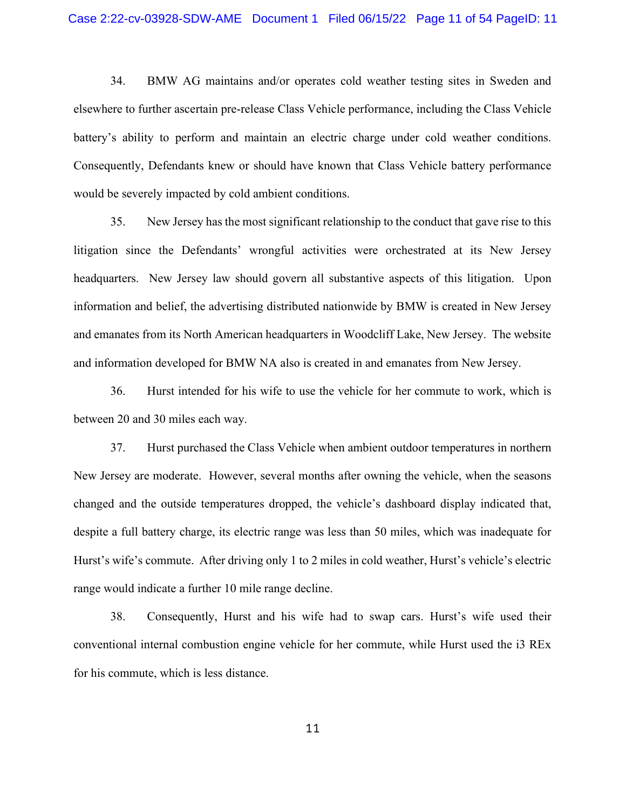34. BMW AG maintains and/or operates cold weather testing sites in Sweden and elsewhere to further ascertain pre-release Class Vehicle performance, including the Class Vehicle battery's ability to perform and maintain an electric charge under cold weather conditions. Consequently, Defendants knew or should have known that Class Vehicle battery performance would be severely impacted by cold ambient conditions.

35. New Jersey has the most significant relationship to the conduct that gave rise to this litigation since the Defendants' wrongful activities were orchestrated at its New Jersey headquarters. New Jersey law should govern all substantive aspects of this litigation. Upon information and belief, the advertising distributed nationwide by BMW is created in New Jersey and emanates from its North American headquarters in Woodcliff Lake, New Jersey. The website and information developed for BMW NA also is created in and emanates from New Jersey.

36. Hurst intended for his wife to use the vehicle for her commute to work, which is between 20 and 30 miles each way.

37. Hurst purchased the Class Vehicle when ambient outdoor temperatures in northern New Jersey are moderate. However, several months after owning the vehicle, when the seasons changed and the outside temperatures dropped, the vehicle's dashboard display indicated that, despite a full battery charge, its electric range was less than 50 miles, which was inadequate for Hurst's wife's commute. After driving only 1 to 2 miles in cold weather, Hurst's vehicle's electric range would indicate a further 10 mile range decline.

38. Consequently, Hurst and his wife had to swap cars. Hurst's wife used their conventional internal combustion engine vehicle for her commute, while Hurst used the i3 REx for his commute, which is less distance.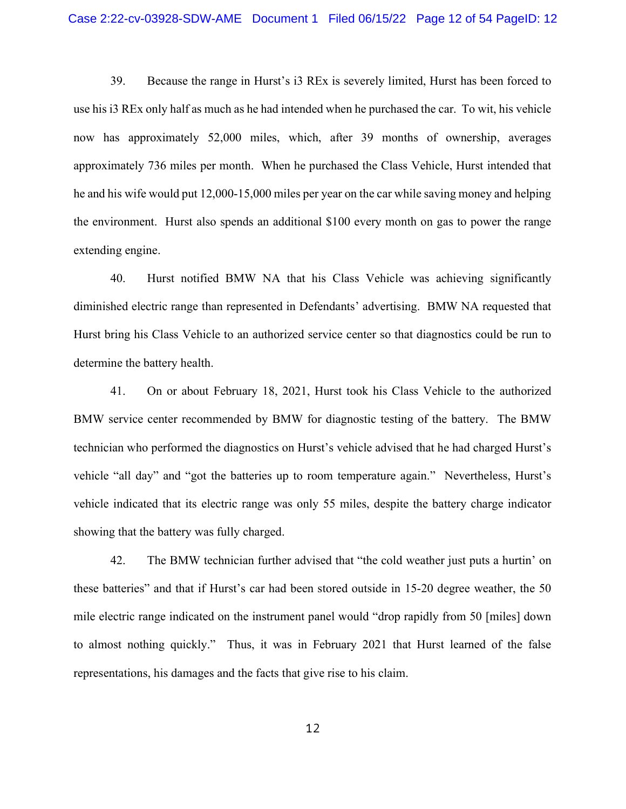39. Because the range in Hurst's i3 REx is severely limited, Hurst has been forced to use his i3 REx only half as much as he had intended when he purchased the car. To wit, his vehicle now has approximately 52,000 miles, which, after 39 months of ownership, averages approximately 736 miles per month. When he purchased the Class Vehicle, Hurst intended that he and his wife would put 12,000-15,000 miles per year on the car while saving money and helping the environment. Hurst also spends an additional \$100 every month on gas to power the range extending engine.

40. Hurst notified BMW NA that his Class Vehicle was achieving significantly diminished electric range than represented in Defendants' advertising. BMW NA requested that Hurst bring his Class Vehicle to an authorized service center so that diagnostics could be run to determine the battery health.

41. On or about February 18, 2021, Hurst took his Class Vehicle to the authorized BMW service center recommended by BMW for diagnostic testing of the battery. The BMW technician who performed the diagnostics on Hurst's vehicle advised that he had charged Hurst's vehicle "all day" and "got the batteries up to room temperature again." Nevertheless, Hurst's vehicle indicated that its electric range was only 55 miles, despite the battery charge indicator showing that the battery was fully charged.

42. The BMW technician further advised that "the cold weather just puts a hurtin' on these batteries" and that if Hurst's car had been stored outside in 15-20 degree weather, the 50 mile electric range indicated on the instrument panel would "drop rapidly from 50 [miles] down to almost nothing quickly." Thus, it was in February 2021 that Hurst learned of the false representations, his damages and the facts that give rise to his claim.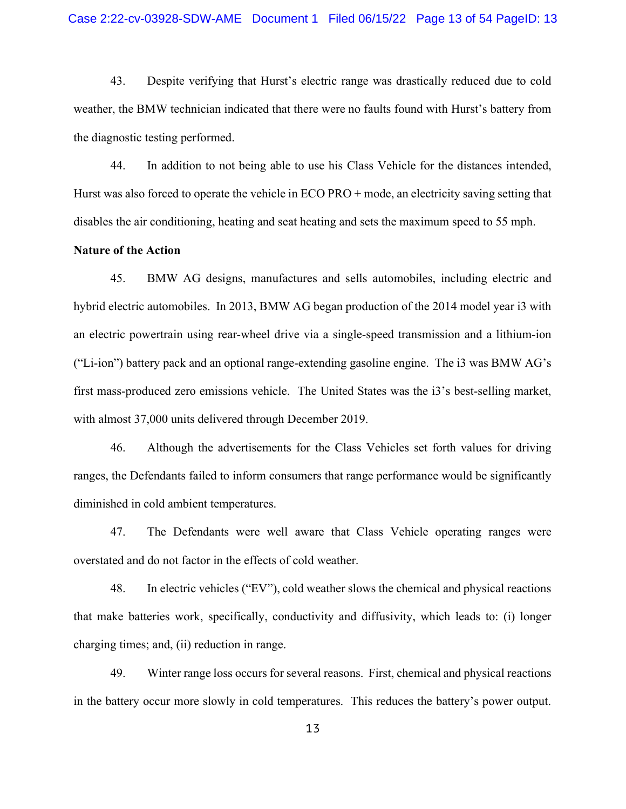43. Despite verifying that Hurst's electric range was drastically reduced due to cold weather, the BMW technician indicated that there were no faults found with Hurst's battery from the diagnostic testing performed.

44. In addition to not being able to use his Class Vehicle for the distances intended, Hurst was also forced to operate the vehicle in ECO PRO + mode, an electricity saving setting that disables the air conditioning, heating and seat heating and sets the maximum speed to 55 mph.

## Nature of the Action

45. BMW AG designs, manufactures and sells automobiles, including electric and hybrid electric automobiles. In 2013, BMW AG began production of the 2014 model year i3 with an electric powertrain using rear-wheel drive via a single-speed transmission and a lithium-ion ("Li-ion") battery pack and an optional range-extending gasoline engine. The i3 was BMW AG's first mass-produced zero emissions vehicle. The United States was the i3's best-selling market, with almost 37,000 units delivered through December 2019.

46. Although the advertisements for the Class Vehicles set forth values for driving ranges, the Defendants failed to inform consumers that range performance would be significantly diminished in cold ambient temperatures.

47. The Defendants were well aware that Class Vehicle operating ranges were overstated and do not factor in the effects of cold weather.

48. In electric vehicles ("EV"), cold weather slows the chemical and physical reactions that make batteries work, specifically, conductivity and diffusivity, which leads to: (i) longer charging times; and, (ii) reduction in range.

49. Winter range loss occurs for several reasons. First, chemical and physical reactions in the battery occur more slowly in cold temperatures. This reduces the battery's power output.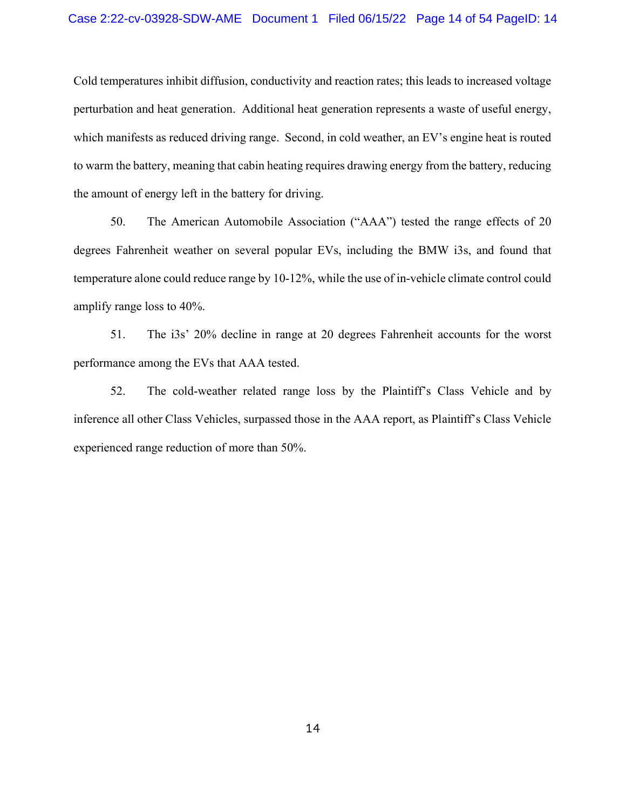Cold temperatures inhibit diffusion, conductivity and reaction rates; this leads to increased voltage perturbation and heat generation. Additional heat generation represents a waste of useful energy, which manifests as reduced driving range. Second, in cold weather, an EV's engine heat is routed to warm the battery, meaning that cabin heating requires drawing energy from the battery, reducing the amount of energy left in the battery for driving.

50. The American Automobile Association ("AAA") tested the range effects of 20 degrees Fahrenheit weather on several popular EVs, including the BMW i3s, and found that temperature alone could reduce range by 10-12%, while the use of in-vehicle climate control could amplify range loss to 40%.

51. The i3s' 20% decline in range at 20 degrees Fahrenheit accounts for the worst performance among the EVs that AAA tested.

52. The cold-weather related range loss by the Plaintiff's Class Vehicle and by inference all other Class Vehicles, surpassed those in the AAA report, as Plaintiff's Class Vehicle experienced range reduction of more than 50%.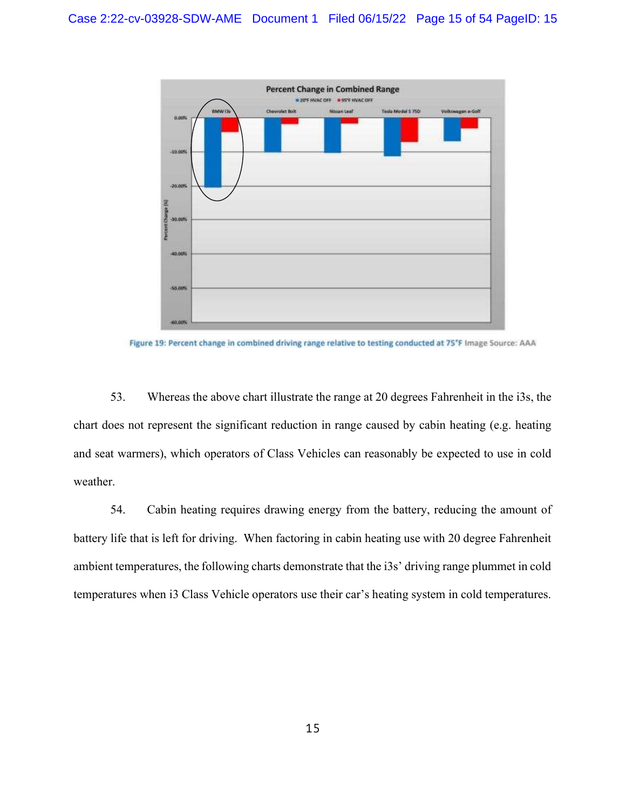

Figure 19: Percent change in combined driving range relative to testing conducted at 7S'F Image Source: AAA

53. Whereas the above chart illustrate the range at 20 degrees Fahrenheit in the i3s, the chart does not represent the significant reduction in range caused by cabin heating (e.g. heating and seat warmers), which operators of Class Vehicles can reasonably be expected to use in cold weather.

54. Cabin heating requires drawing energy from the battery, reducing the amount of battery life that is left for driving. When factoring in cabin heating use with 20 degree Fahrenheit ambient temperatures, the following charts demonstrate that the i3s' driving range plummet in cold temperatures when i3 Class Vehicle operators use their car's heating system in cold temperatures.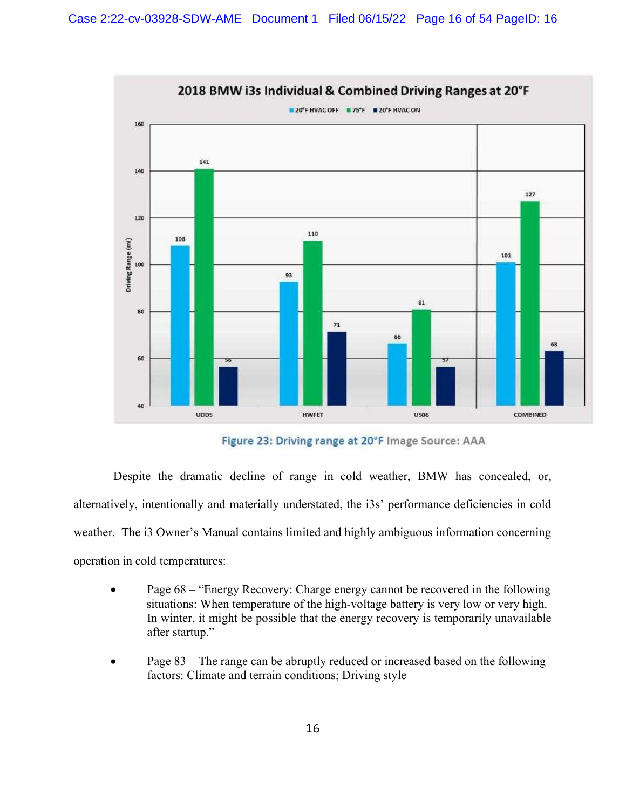

Figure 23: Driving range at 20°F Image Source: AAA

 Despite the dramatic decline of range in cold weather, BMW has concealed, or, alternatively, intentionally and materially understated, the i3s' performance deficiencies in cold weather. The i3 Owner's Manual contains limited and highly ambiguous information concerning operation in cold temperatures:

- Page 68 "Energy Recovery: Charge energy cannot be recovered in the following situations: When temperature of the high-voltage battery is very low or very high. In winter, it might be possible that the energy recovery is temporarily unavailable after startup."
- Page 83 The range can be abruptly reduced or increased based on the following factors: Climate and terrain conditions; Driving style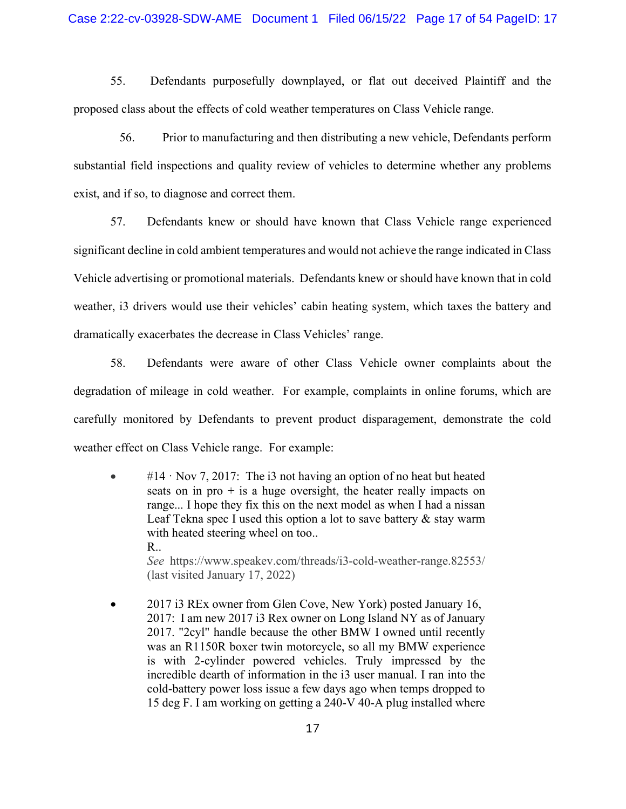### Case 2:22-cv-03928-SDW-AME Document 1 Filed 06/15/22 Page 17 of 54 PageID: 17

55. Defendants purposefully downplayed, or flat out deceived Plaintiff and the proposed class about the effects of cold weather temperatures on Class Vehicle range.

56. Prior to manufacturing and then distributing a new vehicle, Defendants perform substantial field inspections and quality review of vehicles to determine whether any problems exist, and if so, to diagnose and correct them.

57. Defendants knew or should have known that Class Vehicle range experienced significant decline in cold ambient temperatures and would not achieve the range indicated in Class Vehicle advertising or promotional materials. Defendants knew or should have known that in cold weather, i3 drivers would use their vehicles' cabin heating system, which taxes the battery and dramatically exacerbates the decrease in Class Vehicles' range.

58. Defendants were aware of other Class Vehicle owner complaints about the degradation of mileage in cold weather. For example, complaints in online forums, which are carefully monitored by Defendants to prevent product disparagement, demonstrate the cold weather effect on Class Vehicle range. For example:

 $\bullet$  #14 · Nov 7, 2017: The i3 not having an option of no heat but heated seats on in pro  $+$  is a huge oversight, the heater really impacts on range... I hope they fix this on the next model as when I had a nissan Leaf Tekna spec I used this option a lot to save battery & stay warm with heated steering wheel on too.. R..

See https://www.speakev.com/threads/i3-cold-weather-range.82553/ (last visited January 17, 2022)

• 2017 i3 REx owner from Glen Cove, New York) posted January 16, 2017: I am new 2017 i3 Rex owner on Long Island NY as of January 2017. "2cyl" handle because the other BMW I owned until recently was an R1150R boxer twin motorcycle, so all my BMW experience is with 2-cylinder powered vehicles. Truly impressed by the incredible dearth of information in the i3 user manual. I ran into the cold-battery power loss issue a few days ago when temps dropped to 15 deg F. I am working on getting a 240-V 40-A plug installed where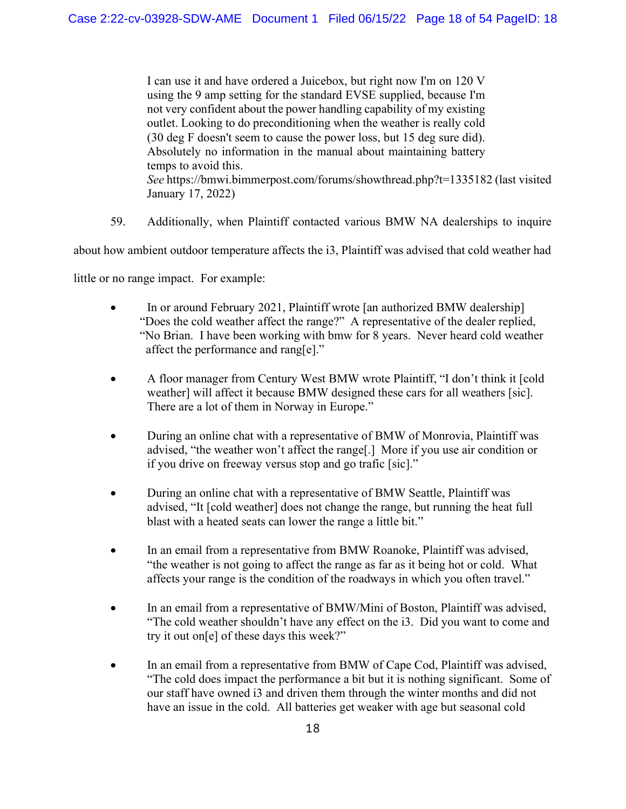I can use it and have ordered a Juicebox, but right now I'm on 120 V using the 9 amp setting for the standard EVSE supplied, because I'm not very confident about the power handling capability of my existing outlet. Looking to do preconditioning when the weather is really cold (30 deg F doesn't seem to cause the power loss, but 15 deg sure did). Absolutely no information in the manual about maintaining battery temps to avoid this. See https://bmwi.bimmerpost.com/forums/showthread.php?t=1335182 (last visited January 17, 2022)

59. Additionally, when Plaintiff contacted various BMW NA dealerships to inquire

about how ambient outdoor temperature affects the i3, Plaintiff was advised that cold weather had

little or no range impact. For example:

- In or around February 2021, Plaintiff wrote [an authorized BMW dealership] "Does the cold weather affect the range?" A representative of the dealer replied, "No Brian. I have been working with bmw for 8 years. Never heard cold weather affect the performance and rang[e]."
- A floor manager from Century West BMW wrote Plaintiff, "I don't think it [cold weather] will affect it because BMW designed these cars for all weathers [sic]. There are a lot of them in Norway in Europe."
- During an online chat with a representative of BMW of Monrovia, Plaintiff was advised, "the weather won't affect the range[.] More if you use air condition or if you drive on freeway versus stop and go trafic [sic]."
- During an online chat with a representative of BMW Seattle, Plaintiff was advised, "It [cold weather] does not change the range, but running the heat full blast with a heated seats can lower the range a little bit."
- In an email from a representative from BMW Roanoke, Plaintiff was advised, "the weather is not going to affect the range as far as it being hot or cold. What affects your range is the condition of the roadways in which you often travel."
- In an email from a representative of BMW/Mini of Boston, Plaintiff was advised, "The cold weather shouldn't have any effect on the i3. Did you want to come and try it out on[e] of these days this week?"
- In an email from a representative from BMW of Cape Cod, Plaintiff was advised, "The cold does impact the performance a bit but it is nothing significant. Some of our staff have owned i3 and driven them through the winter months and did not have an issue in the cold. All batteries get weaker with age but seasonal cold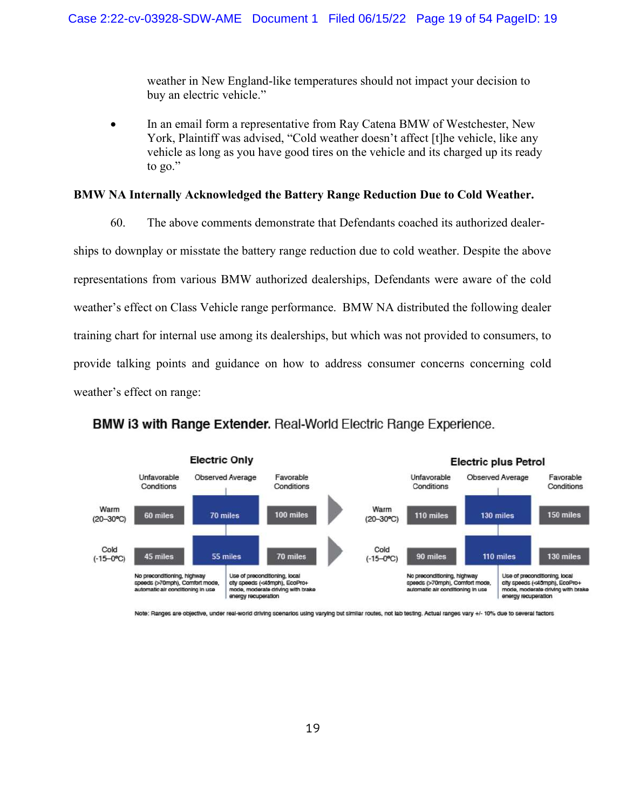weather in New England-like temperatures should not impact your decision to buy an electric vehicle."

• In an email form a representative from Ray Catena BMW of Westchester, New York, Plaintiff was advised, "Cold weather doesn't affect [t]he vehicle, like any vehicle as long as you have good tires on the vehicle and its charged up its ready to go."

#### BMW NA Internally Acknowledged the Battery Range Reduction Due to Cold Weather.

60. The above comments demonstrate that Defendants coached its authorized dealer-

ships to downplay or misstate the battery range reduction due to cold weather. Despite the above representations from various BMW authorized dealerships, Defendants were aware of the cold weather's effect on Class Vehicle range performance. BMW NA distributed the following dealer training chart for internal use among its dealerships, but which was not provided to consumers, to provide talking points and guidance on how to address consumer concerns concerning cold weather's effect on range:

## **BMW i3 with Range Extender.** Real-World Electric Range Experience.



Note: Ranges are objective, under real-world driving scenarios using varying but similar routes, not lab testing. Actual ranges vary +/- 10% due to several factors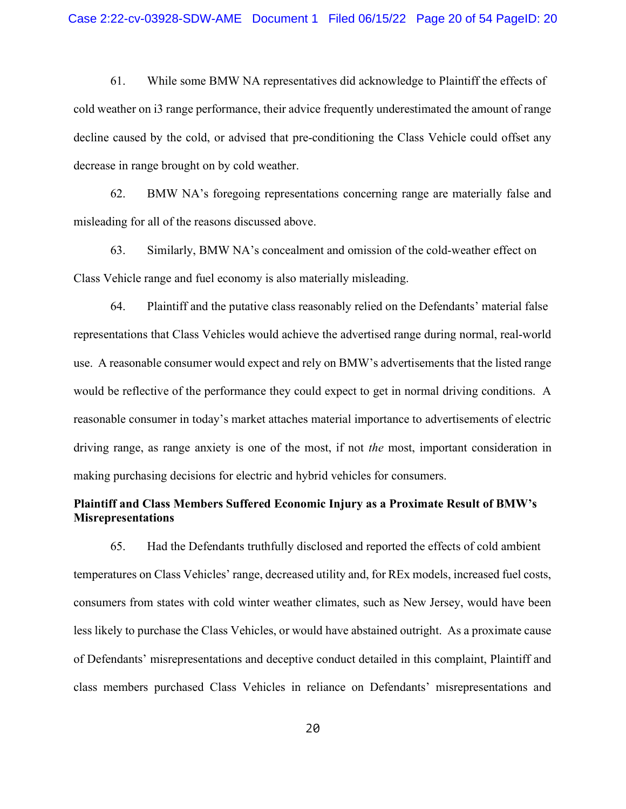61. While some BMW NA representatives did acknowledge to Plaintiff the effects of cold weather on i3 range performance, their advice frequently underestimated the amount of range decline caused by the cold, or advised that pre-conditioning the Class Vehicle could offset any decrease in range brought on by cold weather.

62. BMW NA's foregoing representations concerning range are materially false and misleading for all of the reasons discussed above.

63. Similarly, BMW NA's concealment and omission of the cold-weather effect on Class Vehicle range and fuel economy is also materially misleading.

64. Plaintiff and the putative class reasonably relied on the Defendants' material false representations that Class Vehicles would achieve the advertised range during normal, real-world use. A reasonable consumer would expect and rely on BMW's advertisements that the listed range would be reflective of the performance they could expect to get in normal driving conditions. A reasonable consumer in today's market attaches material importance to advertisements of electric driving range, as range anxiety is one of the most, if not the most, important consideration in making purchasing decisions for electric and hybrid vehicles for consumers.

# Plaintiff and Class Members Suffered Economic Injury as a Proximate Result of BMW's Misrepresentations

65. Had the Defendants truthfully disclosed and reported the effects of cold ambient temperatures on Class Vehicles' range, decreased utility and, for REx models, increased fuel costs, consumers from states with cold winter weather climates, such as New Jersey, would have been less likely to purchase the Class Vehicles, or would have abstained outright. As a proximate cause of Defendants' misrepresentations and deceptive conduct detailed in this complaint, Plaintiff and class members purchased Class Vehicles in reliance on Defendants' misrepresentations and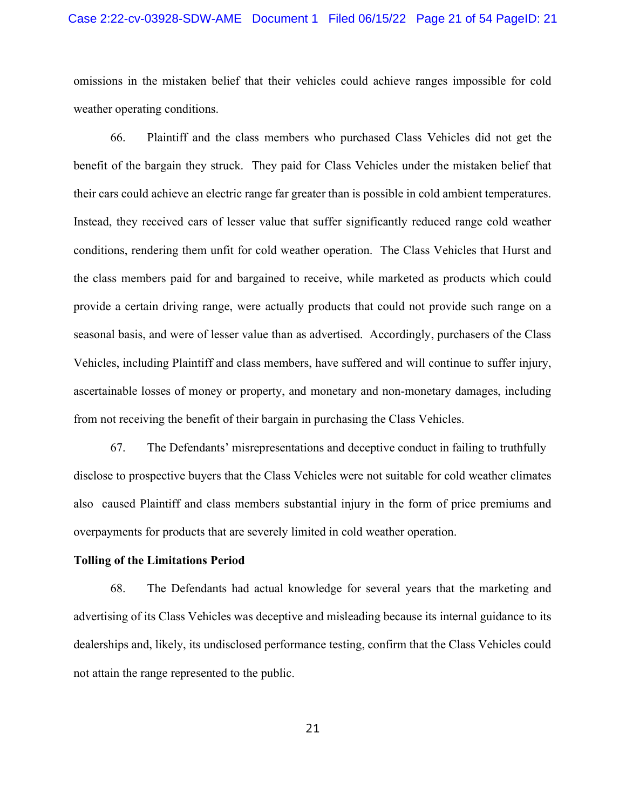#### Case 2:22-cv-03928-SDW-AME Document 1 Filed 06/15/22 Page 21 of 54 PageID: 21

omissions in the mistaken belief that their vehicles could achieve ranges impossible for cold weather operating conditions.

66. Plaintiff and the class members who purchased Class Vehicles did not get the benefit of the bargain they struck. They paid for Class Vehicles under the mistaken belief that their cars could achieve an electric range far greater than is possible in cold ambient temperatures. Instead, they received cars of lesser value that suffer significantly reduced range cold weather conditions, rendering them unfit for cold weather operation. The Class Vehicles that Hurst and the class members paid for and bargained to receive, while marketed as products which could provide a certain driving range, were actually products that could not provide such range on a seasonal basis, and were of lesser value than as advertised. Accordingly, purchasers of the Class Vehicles, including Plaintiff and class members, have suffered and will continue to suffer injury, ascertainable losses of money or property, and monetary and non-monetary damages, including from not receiving the benefit of their bargain in purchasing the Class Vehicles.

67. The Defendants' misrepresentations and deceptive conduct in failing to truthfully disclose to prospective buyers that the Class Vehicles were not suitable for cold weather climates also caused Plaintiff and class members substantial injury in the form of price premiums and overpayments for products that are severely limited in cold weather operation.

#### Tolling of the Limitations Period

68. The Defendants had actual knowledge for several years that the marketing and advertising of its Class Vehicles was deceptive and misleading because its internal guidance to its dealerships and, likely, its undisclosed performance testing, confirm that the Class Vehicles could not attain the range represented to the public.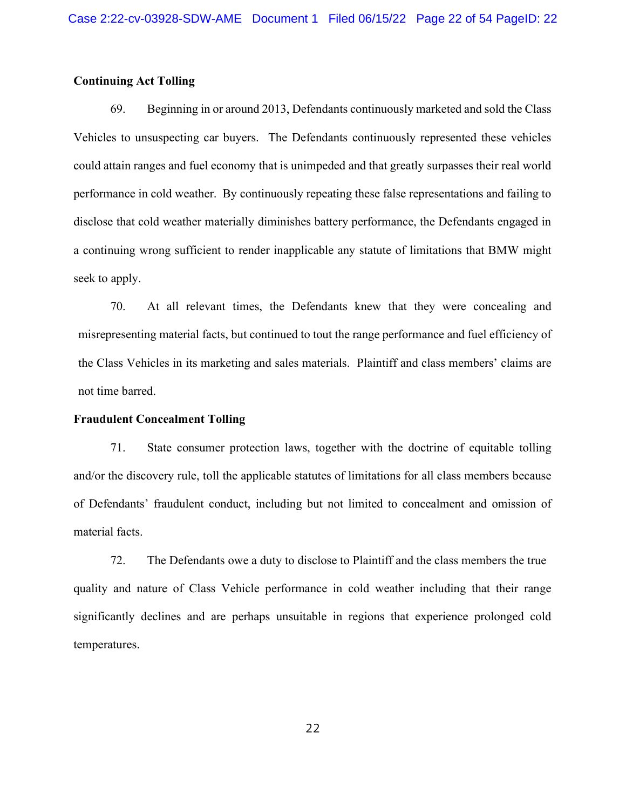## Continuing Act Tolling

69. Beginning in or around 2013, Defendants continuously marketed and sold the Class Vehicles to unsuspecting car buyers. The Defendants continuously represented these vehicles could attain ranges and fuel economy that is unimpeded and that greatly surpasses their real world performance in cold weather. By continuously repeating these false representations and failing to disclose that cold weather materially diminishes battery performance, the Defendants engaged in a continuing wrong sufficient to render inapplicable any statute of limitations that BMW might seek to apply.

70. At all relevant times, the Defendants knew that they were concealing and misrepresenting material facts, but continued to tout the range performance and fuel efficiency of the Class Vehicles in its marketing and sales materials. Plaintiff and class members' claims are not time barred.

### Fraudulent Concealment Tolling

71. State consumer protection laws, together with the doctrine of equitable tolling and/or the discovery rule, toll the applicable statutes of limitations for all class members because of Defendants' fraudulent conduct, including but not limited to concealment and omission of material facts.

72. The Defendants owe a duty to disclose to Plaintiff and the class members the true quality and nature of Class Vehicle performance in cold weather including that their range significantly declines and are perhaps unsuitable in regions that experience prolonged cold temperatures.

22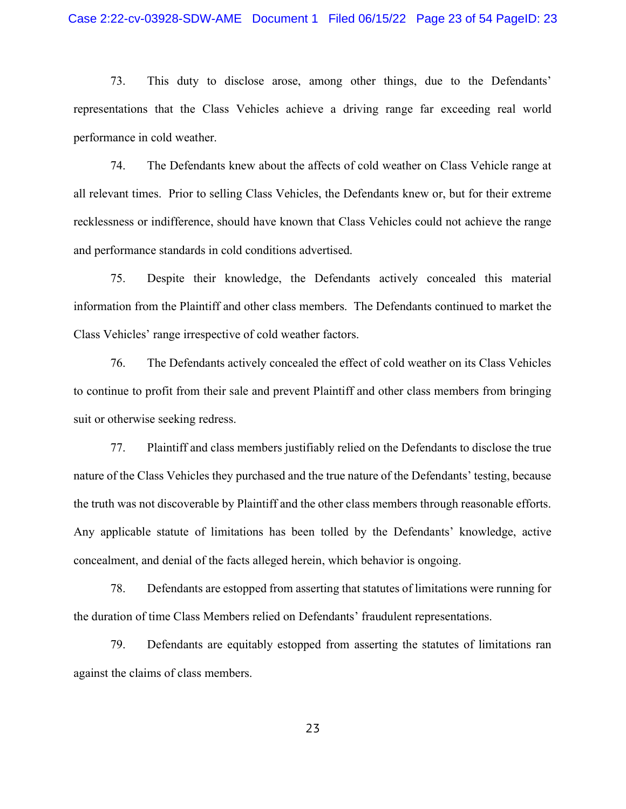73. This duty to disclose arose, among other things, due to the Defendants' representations that the Class Vehicles achieve a driving range far exceeding real world performance in cold weather.

74. The Defendants knew about the affects of cold weather on Class Vehicle range at all relevant times. Prior to selling Class Vehicles, the Defendants knew or, but for their extreme recklessness or indifference, should have known that Class Vehicles could not achieve the range and performance standards in cold conditions advertised.

75. Despite their knowledge, the Defendants actively concealed this material information from the Plaintiff and other class members. The Defendants continued to market the Class Vehicles' range irrespective of cold weather factors.

76. The Defendants actively concealed the effect of cold weather on its Class Vehicles to continue to profit from their sale and prevent Plaintiff and other class members from bringing suit or otherwise seeking redress.

77. Plaintiff and class members justifiably relied on the Defendants to disclose the true nature of the Class Vehicles they purchased and the true nature of the Defendants' testing, because the truth was not discoverable by Plaintiff and the other class members through reasonable efforts. Any applicable statute of limitations has been tolled by the Defendants' knowledge, active concealment, and denial of the facts alleged herein, which behavior is ongoing.

78. Defendants are estopped from asserting that statutes of limitations were running for the duration of time Class Members relied on Defendants' fraudulent representations.

79. Defendants are equitably estopped from asserting the statutes of limitations ran against the claims of class members.

23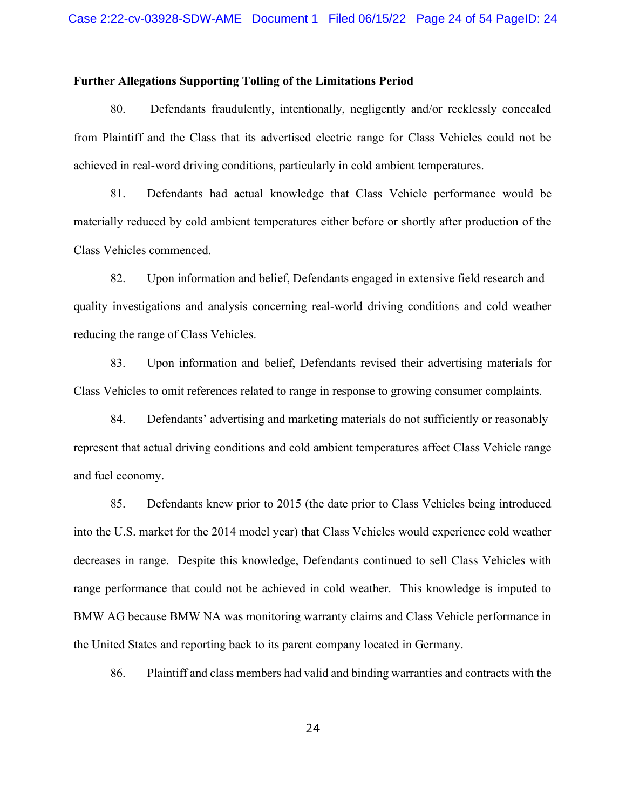#### Further Allegations Supporting Tolling of the Limitations Period

80. Defendants fraudulently, intentionally, negligently and/or recklessly concealed from Plaintiff and the Class that its advertised electric range for Class Vehicles could not be achieved in real-word driving conditions, particularly in cold ambient temperatures.

81. Defendants had actual knowledge that Class Vehicle performance would be materially reduced by cold ambient temperatures either before or shortly after production of the Class Vehicles commenced.

82. Upon information and belief, Defendants engaged in extensive field research and quality investigations and analysis concerning real-world driving conditions and cold weather reducing the range of Class Vehicles.

83. Upon information and belief, Defendants revised their advertising materials for Class Vehicles to omit references related to range in response to growing consumer complaints.

84. Defendants' advertising and marketing materials do not sufficiently or reasonably represent that actual driving conditions and cold ambient temperatures affect Class Vehicle range and fuel economy.

85. Defendants knew prior to 2015 (the date prior to Class Vehicles being introduced into the U.S. market for the 2014 model year) that Class Vehicles would experience cold weather decreases in range. Despite this knowledge, Defendants continued to sell Class Vehicles with range performance that could not be achieved in cold weather. This knowledge is imputed to BMW AG because BMW NA was monitoring warranty claims and Class Vehicle performance in the United States and reporting back to its parent company located in Germany.

86. Plaintiff and class members had valid and binding warranties and contracts with the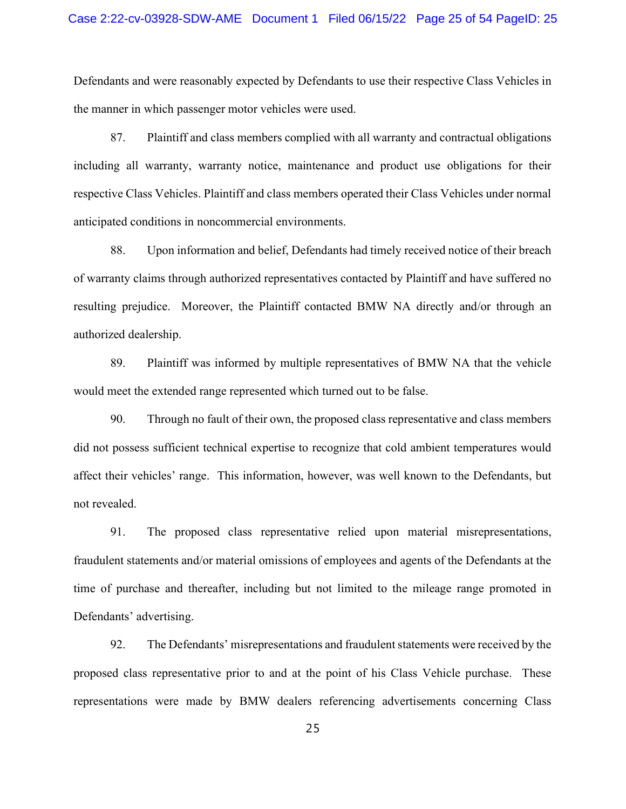Defendants and were reasonably expected by Defendants to use their respective Class Vehicles in the manner in which passenger motor vehicles were used.

87. Plaintiff and class members complied with all warranty and contractual obligations including all warranty, warranty notice, maintenance and product use obligations for their respective Class Vehicles. Plaintiff and class members operated their Class Vehicles under normal anticipated conditions in noncommercial environments.

88. Upon information and belief, Defendants had timely received notice of their breach of warranty claims through authorized representatives contacted by Plaintiff and have suffered no resulting prejudice. Moreover, the Plaintiff contacted BMW NA directly and/or through an authorized dealership.

89. Plaintiff was informed by multiple representatives of BMW NA that the vehicle would meet the extended range represented which turned out to be false.

90. Through no fault of their own, the proposed class representative and class members did not possess sufficient technical expertise to recognize that cold ambient temperatures would affect their vehicles' range. This information, however, was well known to the Defendants, but not revealed.

91. The proposed class representative relied upon material misrepresentations, fraudulent statements and/or material omissions of employees and agents of the Defendants at the time of purchase and thereafter, including but not limited to the mileage range promoted in Defendants' advertising.

92. The Defendants' misrepresentations and fraudulent statements were received by the proposed class representative prior to and at the point of his Class Vehicle purchase. These representations were made by BMW dealers referencing advertisements concerning Class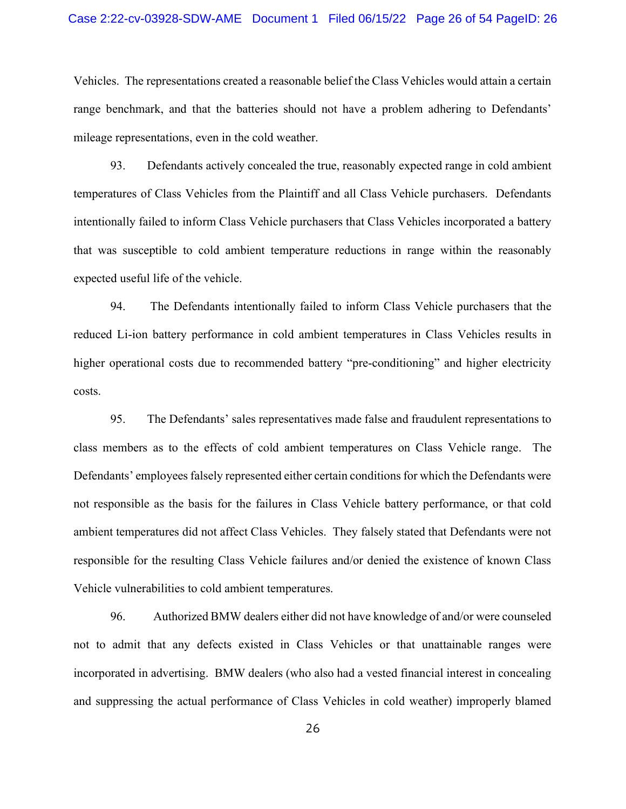Vehicles. The representations created a reasonable belief the Class Vehicles would attain a certain range benchmark, and that the batteries should not have a problem adhering to Defendants' mileage representations, even in the cold weather.

93. Defendants actively concealed the true, reasonably expected range in cold ambient temperatures of Class Vehicles from the Plaintiff and all Class Vehicle purchasers. Defendants intentionally failed to inform Class Vehicle purchasers that Class Vehicles incorporated a battery that was susceptible to cold ambient temperature reductions in range within the reasonably expected useful life of the vehicle.

94. The Defendants intentionally failed to inform Class Vehicle purchasers that the reduced Li-ion battery performance in cold ambient temperatures in Class Vehicles results in higher operational costs due to recommended battery "pre-conditioning" and higher electricity costs.

95. The Defendants' sales representatives made false and fraudulent representations to class members as to the effects of cold ambient temperatures on Class Vehicle range. The Defendants' employees falsely represented either certain conditions for which the Defendants were not responsible as the basis for the failures in Class Vehicle battery performance, or that cold ambient temperatures did not affect Class Vehicles. They falsely stated that Defendants were not responsible for the resulting Class Vehicle failures and/or denied the existence of known Class Vehicle vulnerabilities to cold ambient temperatures.

96. Authorized BMW dealers either did not have knowledge of and/or were counseled not to admit that any defects existed in Class Vehicles or that unattainable ranges were incorporated in advertising. BMW dealers (who also had a vested financial interest in concealing and suppressing the actual performance of Class Vehicles in cold weather) improperly blamed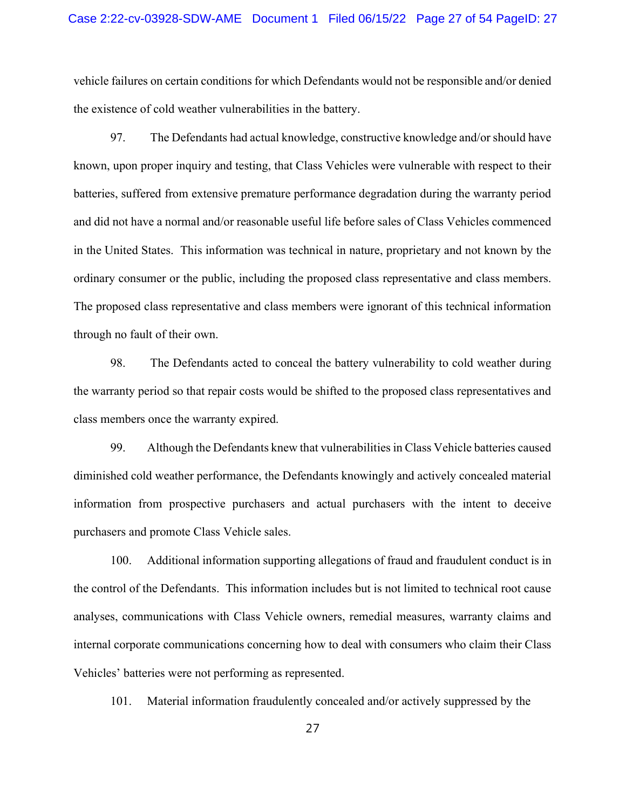vehicle failures on certain conditions for which Defendants would not be responsible and/or denied the existence of cold weather vulnerabilities in the battery.

97. The Defendants had actual knowledge, constructive knowledge and/or should have known, upon proper inquiry and testing, that Class Vehicles were vulnerable with respect to their batteries, suffered from extensive premature performance degradation during the warranty period and did not have a normal and/or reasonable useful life before sales of Class Vehicles commenced in the United States. This information was technical in nature, proprietary and not known by the ordinary consumer or the public, including the proposed class representative and class members. The proposed class representative and class members were ignorant of this technical information through no fault of their own.

98. The Defendants acted to conceal the battery vulnerability to cold weather during the warranty period so that repair costs would be shifted to the proposed class representatives and class members once the warranty expired.

99. Although the Defendants knew that vulnerabilities in Class Vehicle batteries caused diminished cold weather performance, the Defendants knowingly and actively concealed material information from prospective purchasers and actual purchasers with the intent to deceive purchasers and promote Class Vehicle sales.

100. Additional information supporting allegations of fraud and fraudulent conduct is in the control of the Defendants. This information includes but is not limited to technical root cause analyses, communications with Class Vehicle owners, remedial measures, warranty claims and internal corporate communications concerning how to deal with consumers who claim their Class Vehicles' batteries were not performing as represented.

101. Material information fraudulently concealed and/or actively suppressed by the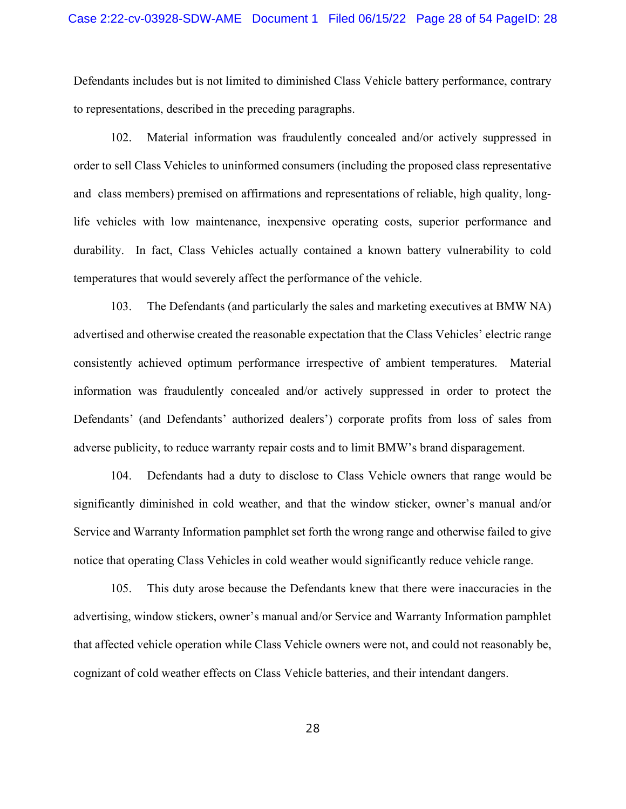Defendants includes but is not limited to diminished Class Vehicle battery performance, contrary to representations, described in the preceding paragraphs.

102. Material information was fraudulently concealed and/or actively suppressed in order to sell Class Vehicles to uninformed consumers (including the proposed class representative and class members) premised on affirmations and representations of reliable, high quality, longlife vehicles with low maintenance, inexpensive operating costs, superior performance and durability. In fact, Class Vehicles actually contained a known battery vulnerability to cold temperatures that would severely affect the performance of the vehicle.

103. The Defendants (and particularly the sales and marketing executives at BMW NA) advertised and otherwise created the reasonable expectation that the Class Vehicles' electric range consistently achieved optimum performance irrespective of ambient temperatures. Material information was fraudulently concealed and/or actively suppressed in order to protect the Defendants' (and Defendants' authorized dealers') corporate profits from loss of sales from adverse publicity, to reduce warranty repair costs and to limit BMW's brand disparagement.

104. Defendants had a duty to disclose to Class Vehicle owners that range would be significantly diminished in cold weather, and that the window sticker, owner's manual and/or Service and Warranty Information pamphlet set forth the wrong range and otherwise failed to give notice that operating Class Vehicles in cold weather would significantly reduce vehicle range.

105. This duty arose because the Defendants knew that there were inaccuracies in the advertising, window stickers, owner's manual and/or Service and Warranty Information pamphlet that affected vehicle operation while Class Vehicle owners were not, and could not reasonably be, cognizant of cold weather effects on Class Vehicle batteries, and their intendant dangers.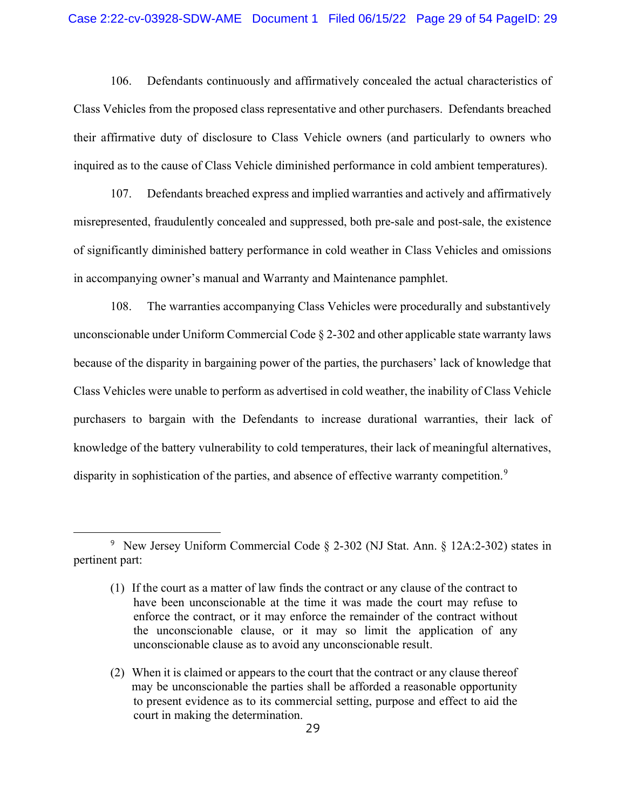106. Defendants continuously and affirmatively concealed the actual characteristics of Class Vehicles from the proposed class representative and other purchasers. Defendants breached their affirmative duty of disclosure to Class Vehicle owners (and particularly to owners who inquired as to the cause of Class Vehicle diminished performance in cold ambient temperatures).

107. Defendants breached express and implied warranties and actively and affirmatively misrepresented, fraudulently concealed and suppressed, both pre-sale and post-sale, the existence of significantly diminished battery performance in cold weather in Class Vehicles and omissions in accompanying owner's manual and Warranty and Maintenance pamphlet.

108. The warranties accompanying Class Vehicles were procedurally and substantively unconscionable under Uniform Commercial Code § 2-302 and other applicable state warranty laws because of the disparity in bargaining power of the parties, the purchasers' lack of knowledge that Class Vehicles were unable to perform as advertised in cold weather, the inability of Class Vehicle purchasers to bargain with the Defendants to increase durational warranties, their lack of knowledge of the battery vulnerability to cold temperatures, their lack of meaningful alternatives, disparity in sophistication of the parties, and absence of effective warranty competition.<sup>9</sup>

<sup>9</sup> New Jersey Uniform Commercial Code § 2-302 (NJ Stat. Ann. § 12A:2-302) states in pertinent part:

<sup>(1)</sup> If the court as a matter of law finds the contract or any clause of the contract to have been unconscionable at the time it was made the court may refuse to enforce the contract, or it may enforce the remainder of the contract without the unconscionable clause, or it may so limit the application of any unconscionable clause as to avoid any unconscionable result.

<sup>(2)</sup> When it is claimed or appears to the court that the contract or any clause thereof may be unconscionable the parties shall be afforded a reasonable opportunity to present evidence as to its commercial setting, purpose and effect to aid the court in making the determination.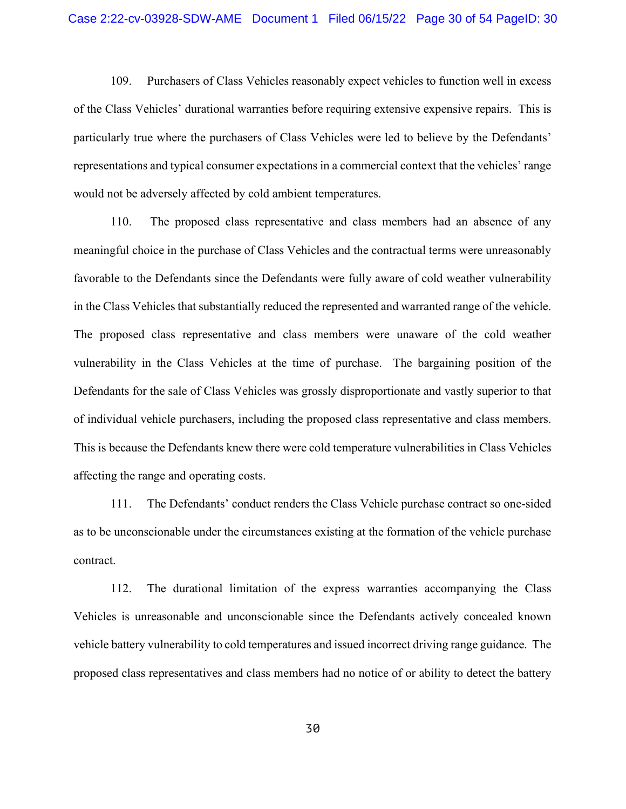109. Purchasers of Class Vehicles reasonably expect vehicles to function well in excess of the Class Vehicles' durational warranties before requiring extensive expensive repairs. This is particularly true where the purchasers of Class Vehicles were led to believe by the Defendants' representations and typical consumer expectations in a commercial context that the vehicles' range would not be adversely affected by cold ambient temperatures.

110. The proposed class representative and class members had an absence of any meaningful choice in the purchase of Class Vehicles and the contractual terms were unreasonably favorable to the Defendants since the Defendants were fully aware of cold weather vulnerability in the Class Vehicles that substantially reduced the represented and warranted range of the vehicle. The proposed class representative and class members were unaware of the cold weather vulnerability in the Class Vehicles at the time of purchase. The bargaining position of the Defendants for the sale of Class Vehicles was grossly disproportionate and vastly superior to that of individual vehicle purchasers, including the proposed class representative and class members. This is because the Defendants knew there were cold temperature vulnerabilities in Class Vehicles affecting the range and operating costs.

111. The Defendants' conduct renders the Class Vehicle purchase contract so one-sided as to be unconscionable under the circumstances existing at the formation of the vehicle purchase contract.

112. The durational limitation of the express warranties accompanying the Class Vehicles is unreasonable and unconscionable since the Defendants actively concealed known vehicle battery vulnerability to cold temperatures and issued incorrect driving range guidance. The proposed class representatives and class members had no notice of or ability to detect the battery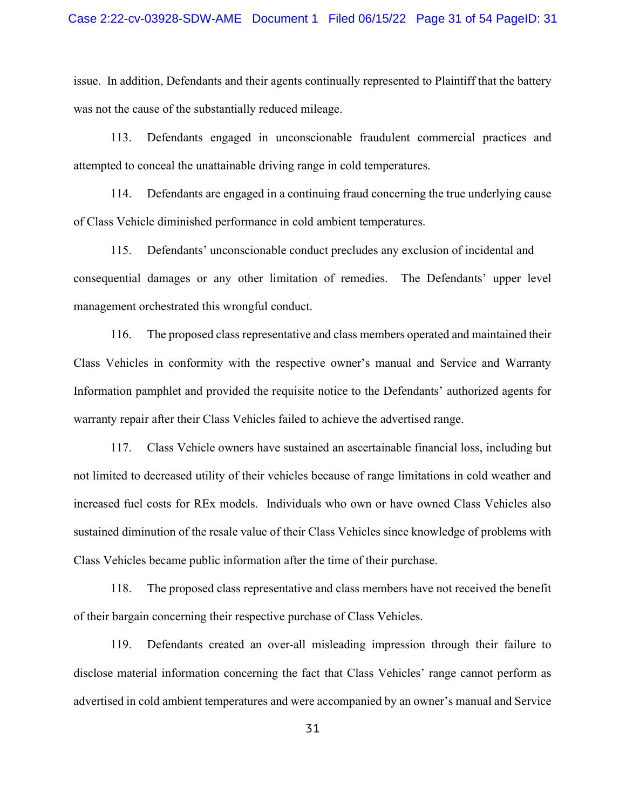issue. In addition, Defendants and their agents continually represented to Plaintiff that the battery was not the cause of the substantially reduced mileage.

113. Defendants engaged in unconscionable fraudulent commercial practices and attempted to conceal the unattainable driving range in cold temperatures.

114. Defendants are engaged in a continuing fraud concerning the true underlying cause of Class Vehicle diminished performance in cold ambient temperatures.

115. Defendants' unconscionable conduct precludes any exclusion of incidental and consequential damages or any other limitation of remedies. The Defendants' upper level management orchestrated this wrongful conduct.

116. The proposed class representative and class members operated and maintained their Class Vehicles in conformity with the respective owner's manual and Service and Warranty Information pamphlet and provided the requisite notice to the Defendants' authorized agents for warranty repair after their Class Vehicles failed to achieve the advertised range.

117. Class Vehicle owners have sustained an ascertainable financial loss, including but not limited to decreased utility of their vehicles because of range limitations in cold weather and increased fuel costs for REx models. Individuals who own or have owned Class Vehicles also sustained diminution of the resale value of their Class Vehicles since knowledge of problems with Class Vehicles became public information after the time of their purchase.

118. The proposed class representative and class members have not received the benefit of their bargain concerning their respective purchase of Class Vehicles.

119. Defendants created an over-all misleading impression through their failure to disclose material information concerning the fact that Class Vehicles' range cannot perform as advertised in cold ambient temperatures and were accompanied by an owner's manual and Service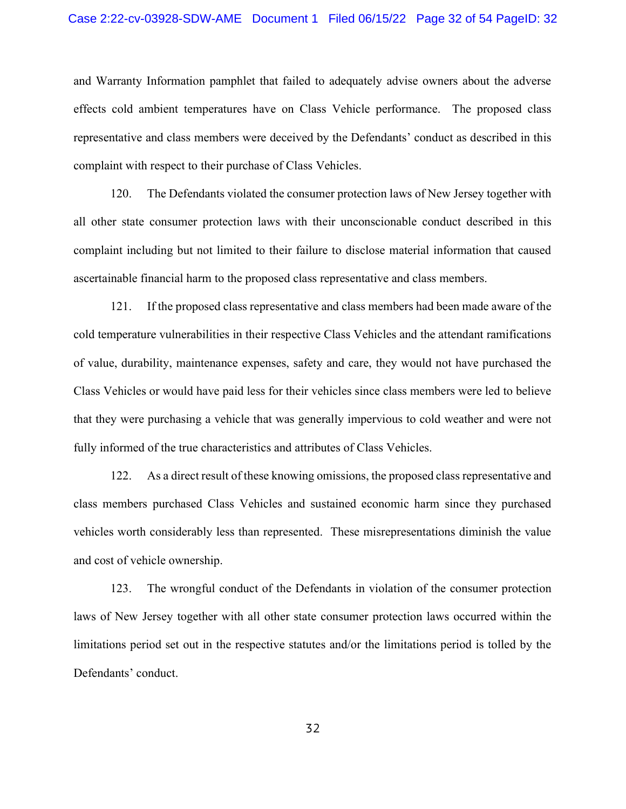#### Case 2:22-cv-03928-SDW-AME Document 1 Filed 06/15/22 Page 32 of 54 PageID: 32

and Warranty Information pamphlet that failed to adequately advise owners about the adverse effects cold ambient temperatures have on Class Vehicle performance. The proposed class representative and class members were deceived by the Defendants' conduct as described in this complaint with respect to their purchase of Class Vehicles.

120. The Defendants violated the consumer protection laws of New Jersey together with all other state consumer protection laws with their unconscionable conduct described in this complaint including but not limited to their failure to disclose material information that caused ascertainable financial harm to the proposed class representative and class members.

121. If the proposed class representative and class members had been made aware of the cold temperature vulnerabilities in their respective Class Vehicles and the attendant ramifications of value, durability, maintenance expenses, safety and care, they would not have purchased the Class Vehicles or would have paid less for their vehicles since class members were led to believe that they were purchasing a vehicle that was generally impervious to cold weather and were not fully informed of the true characteristics and attributes of Class Vehicles.

122. As a direct result of these knowing omissions, the proposed class representative and class members purchased Class Vehicles and sustained economic harm since they purchased vehicles worth considerably less than represented. These misrepresentations diminish the value and cost of vehicle ownership.

123. The wrongful conduct of the Defendants in violation of the consumer protection laws of New Jersey together with all other state consumer protection laws occurred within the limitations period set out in the respective statutes and/or the limitations period is tolled by the Defendants' conduct.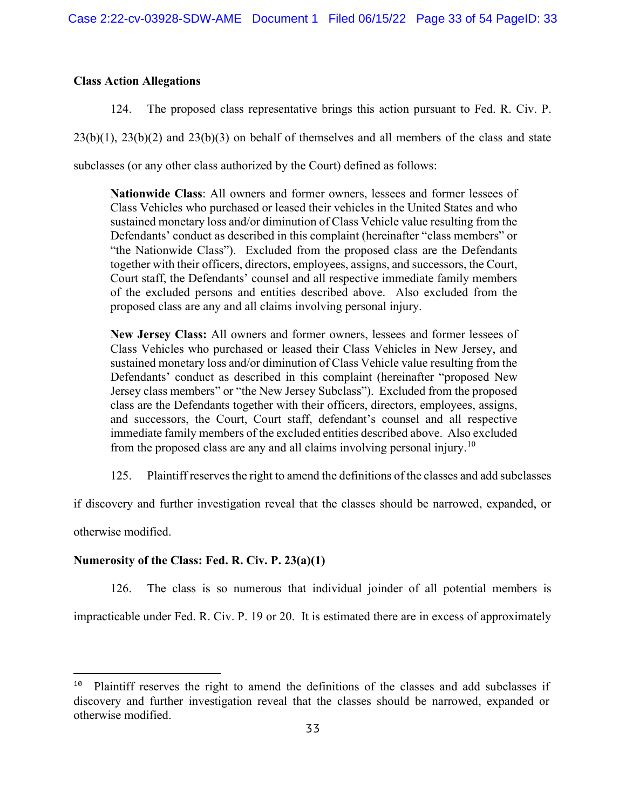## Class Action Allegations

124. The proposed class representative brings this action pursuant to Fed. R. Civ. P.

 $23(b)(1)$ ,  $23(b)(2)$  and  $23(b)(3)$  on behalf of themselves and all members of the class and state

subclasses (or any other class authorized by the Court) defined as follows:

Nationwide Class: All owners and former owners, lessees and former lessees of Class Vehicles who purchased or leased their vehicles in the United States and who sustained monetary loss and/or diminution of Class Vehicle value resulting from the Defendants' conduct as described in this complaint (hereinafter "class members" or "the Nationwide Class"). Excluded from the proposed class are the Defendants together with their officers, directors, employees, assigns, and successors, the Court, Court staff, the Defendants' counsel and all respective immediate family members of the excluded persons and entities described above. Also excluded from the proposed class are any and all claims involving personal injury.

New Jersey Class: All owners and former owners, lessees and former lessees of Class Vehicles who purchased or leased their Class Vehicles in New Jersey, and sustained monetary loss and/or diminution of Class Vehicle value resulting from the Defendants' conduct as described in this complaint (hereinafter "proposed New Jersey class members" or "the New Jersey Subclass"). Excluded from the proposed class are the Defendants together with their officers, directors, employees, assigns, and successors, the Court, Court staff, defendant's counsel and all respective immediate family members of the excluded entities described above. Also excluded from the proposed class are any and all claims involving personal injury.<sup>10</sup>

125. Plaintiff reserves the right to amend the definitions of the classes and add subclasses

if discovery and further investigation reveal that the classes should be narrowed, expanded, or

otherwise modified.

## Numerosity of the Class: Fed. R. Civ. P. 23(a)(1)

126. The class is so numerous that individual joinder of all potential members is

impracticable under Fed. R. Civ. P. 19 or 20. It is estimated there are in excess of approximately

 $10$  Plaintiff reserves the right to amend the definitions of the classes and add subclasses if discovery and further investigation reveal that the classes should be narrowed, expanded or otherwise modified.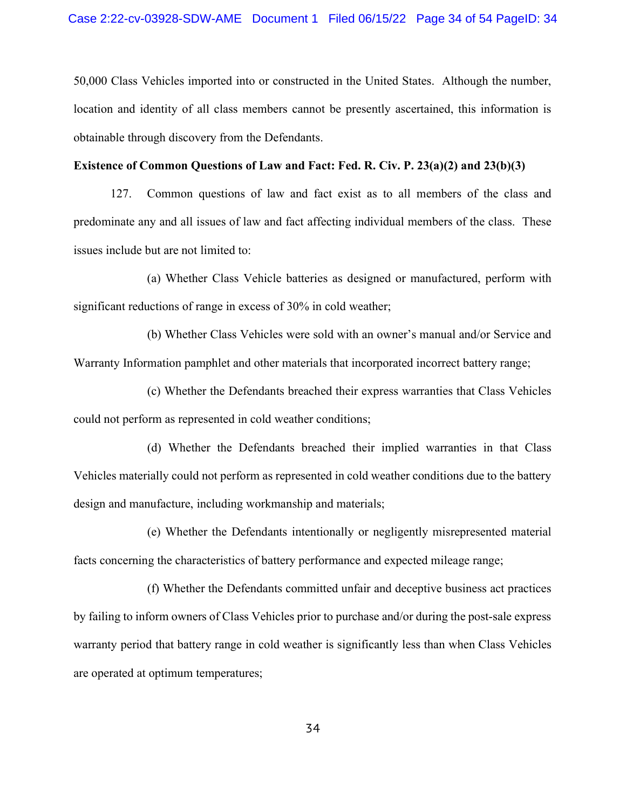50,000 Class Vehicles imported into or constructed in the United States. Although the number, location and identity of all class members cannot be presently ascertained, this information is obtainable through discovery from the Defendants.

### Existence of Common Questions of Law and Fact: Fed. R. Civ. P. 23(a)(2) and 23(b)(3)

127. Common questions of law and fact exist as to all members of the class and predominate any and all issues of law and fact affecting individual members of the class. These issues include but are not limited to:

(a) Whether Class Vehicle batteries as designed or manufactured, perform with significant reductions of range in excess of 30% in cold weather;

 (b) Whether Class Vehicles were sold with an owner's manual and/or Service and Warranty Information pamphlet and other materials that incorporated incorrect battery range;

 (c) Whether the Defendants breached their express warranties that Class Vehicles could not perform as represented in cold weather conditions;

 (d) Whether the Defendants breached their implied warranties in that Class Vehicles materially could not perform as represented in cold weather conditions due to the battery design and manufacture, including workmanship and materials;

 (e) Whether the Defendants intentionally or negligently misrepresented material facts concerning the characteristics of battery performance and expected mileage range;

 (f) Whether the Defendants committed unfair and deceptive business act practices by failing to inform owners of Class Vehicles prior to purchase and/or during the post-sale express warranty period that battery range in cold weather is significantly less than when Class Vehicles are operated at optimum temperatures;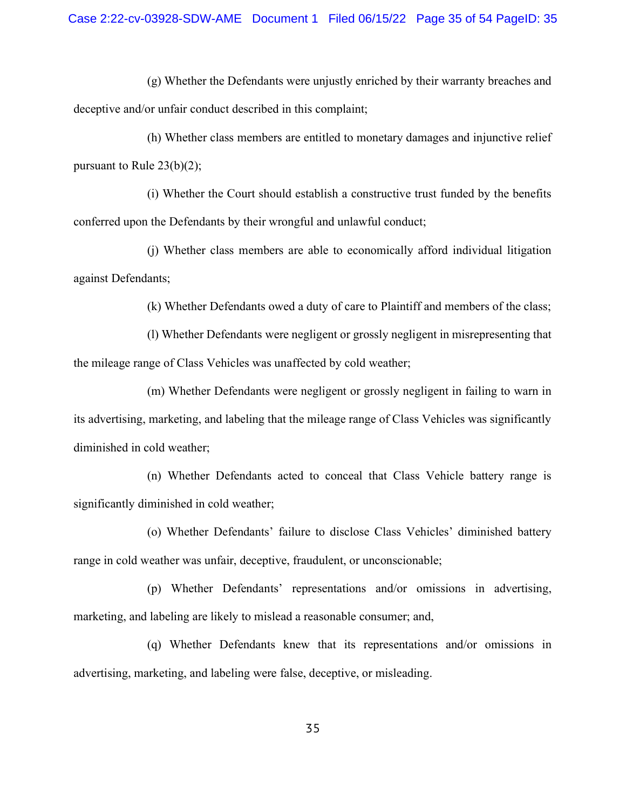(g) Whether the Defendants were unjustly enriched by their warranty breaches and deceptive and/or unfair conduct described in this complaint;

 (h) Whether class members are entitled to monetary damages and injunctive relief pursuant to Rule 23(b)(2);

 (i) Whether the Court should establish a constructive trust funded by the benefits conferred upon the Defendants by their wrongful and unlawful conduct;

 (j) Whether class members are able to economically afford individual litigation against Defendants;

(k) Whether Defendants owed a duty of care to Plaintiff and members of the class;

 (l) Whether Defendants were negligent or grossly negligent in misrepresenting that the mileage range of Class Vehicles was unaffected by cold weather;

 (m) Whether Defendants were negligent or grossly negligent in failing to warn in its advertising, marketing, and labeling that the mileage range of Class Vehicles was significantly diminished in cold weather;

 (n) Whether Defendants acted to conceal that Class Vehicle battery range is significantly diminished in cold weather;

 (o) Whether Defendants' failure to disclose Class Vehicles' diminished battery range in cold weather was unfair, deceptive, fraudulent, or unconscionable;

 (p) Whether Defendants' representations and/or omissions in advertising, marketing, and labeling are likely to mislead a reasonable consumer; and,

 (q) Whether Defendants knew that its representations and/or omissions in advertising, marketing, and labeling were false, deceptive, or misleading.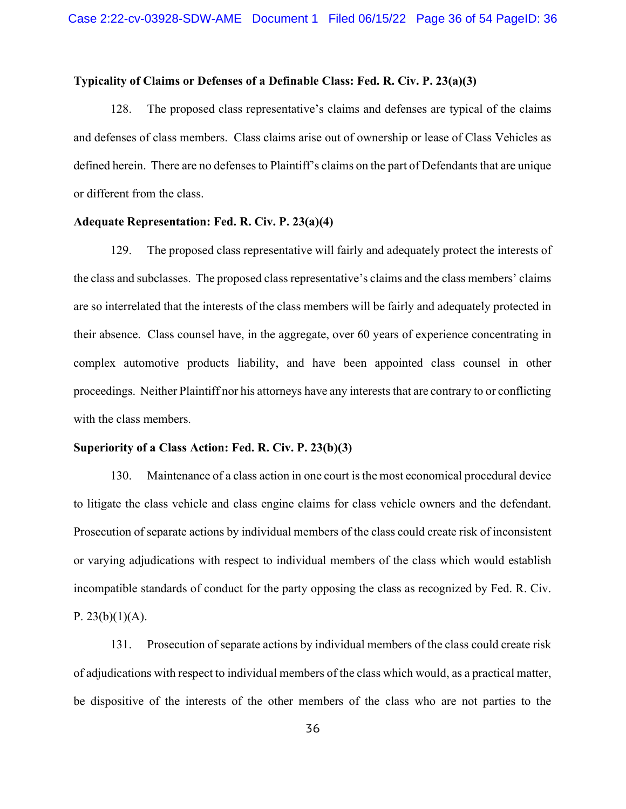### Typicality of Claims or Defenses of a Definable Class: Fed. R. Civ. P. 23(a)(3)

128. The proposed class representative's claims and defenses are typical of the claims and defenses of class members. Class claims arise out of ownership or lease of Class Vehicles as defined herein. There are no defenses to Plaintiff's claims on the part of Defendants that are unique or different from the class.

### Adequate Representation: Fed. R. Civ. P. 23(a)(4)

129. The proposed class representative will fairly and adequately protect the interests of the class and subclasses. The proposed class representative's claims and the class members' claims are so interrelated that the interests of the class members will be fairly and adequately protected in their absence. Class counsel have, in the aggregate, over 60 years of experience concentrating in complex automotive products liability, and have been appointed class counsel in other proceedings. Neither Plaintiff nor his attorneys have any interests that are contrary to or conflicting with the class members.

#### Superiority of a Class Action: Fed. R. Civ. P. 23(b)(3)

130. Maintenance of a class action in one court is the most economical procedural device to litigate the class vehicle and class engine claims for class vehicle owners and the defendant. Prosecution of separate actions by individual members of the class could create risk of inconsistent or varying adjudications with respect to individual members of the class which would establish incompatible standards of conduct for the party opposing the class as recognized by Fed. R. Civ. P.  $23(b)(1)(A)$ .

131. Prosecution of separate actions by individual members of the class could create risk of adjudications with respect to individual members of the class which would, as a practical matter, be dispositive of the interests of the other members of the class who are not parties to the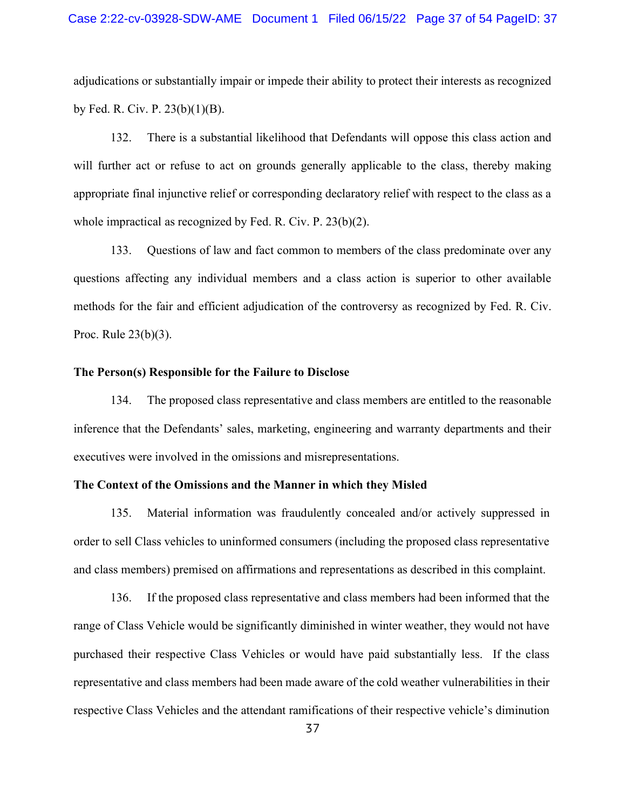adjudications or substantially impair or impede their ability to protect their interests as recognized by Fed. R. Civ. P. 23(b)(1)(B).

132. There is a substantial likelihood that Defendants will oppose this class action and will further act or refuse to act on grounds generally applicable to the class, thereby making appropriate final injunctive relief or corresponding declaratory relief with respect to the class as a whole impractical as recognized by Fed. R. Civ. P. 23(b)(2).

133. Questions of law and fact common to members of the class predominate over any questions affecting any individual members and a class action is superior to other available methods for the fair and efficient adjudication of the controversy as recognized by Fed. R. Civ. Proc. Rule 23(b)(3).

#### The Person(s) Responsible for the Failure to Disclose

134. The proposed class representative and class members are entitled to the reasonable inference that the Defendants' sales, marketing, engineering and warranty departments and their executives were involved in the omissions and misrepresentations.

### The Context of the Omissions and the Manner in which they Misled

135. Material information was fraudulently concealed and/or actively suppressed in order to sell Class vehicles to uninformed consumers (including the proposed class representative and class members) premised on affirmations and representations as described in this complaint.

136. If the proposed class representative and class members had been informed that the range of Class Vehicle would be significantly diminished in winter weather, they would not have purchased their respective Class Vehicles or would have paid substantially less. If the class representative and class members had been made aware of the cold weather vulnerabilities in their respective Class Vehicles and the attendant ramifications of their respective vehicle's diminution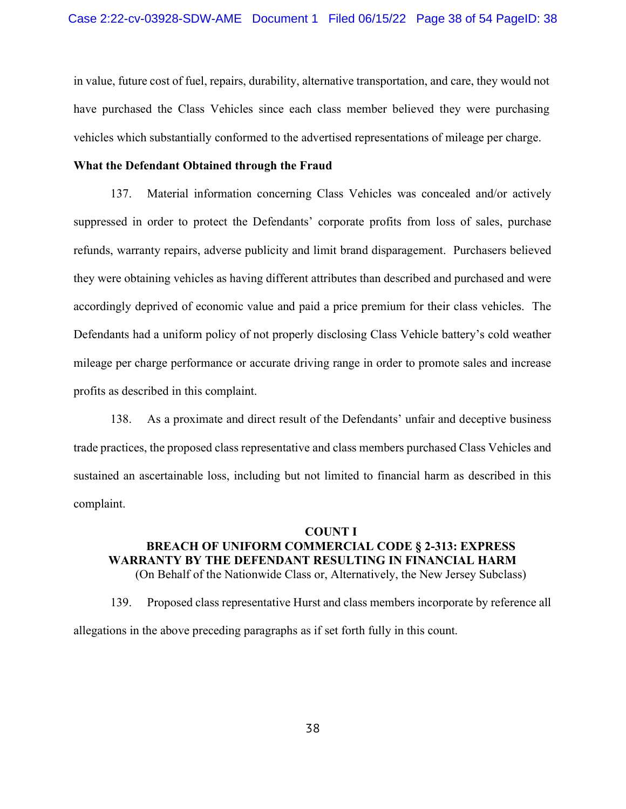in value, future cost of fuel, repairs, durability, alternative transportation, and care, they would not have purchased the Class Vehicles since each class member believed they were purchasing vehicles which substantially conformed to the advertised representations of mileage per charge.

### What the Defendant Obtained through the Fraud

137. Material information concerning Class Vehicles was concealed and/or actively suppressed in order to protect the Defendants' corporate profits from loss of sales, purchase refunds, warranty repairs, adverse publicity and limit brand disparagement. Purchasers believed they were obtaining vehicles as having different attributes than described and purchased and were accordingly deprived of economic value and paid a price premium for their class vehicles. The Defendants had a uniform policy of not properly disclosing Class Vehicle battery's cold weather mileage per charge performance or accurate driving range in order to promote sales and increase profits as described in this complaint.

138. As a proximate and direct result of the Defendants' unfair and deceptive business trade practices, the proposed class representative and class members purchased Class Vehicles and sustained an ascertainable loss, including but not limited to financial harm as described in this complaint.

## COUNT I BREACH OF UNIFORM COMMERCIAL CODE § 2-313: EXPRESS WARRANTY BY THE DEFENDANT RESULTING IN FINANCIAL HARM (On Behalf of the Nationwide Class or, Alternatively, the New Jersey Subclass)

139. Proposed class representative Hurst and class members incorporate by reference all allegations in the above preceding paragraphs as if set forth fully in this count.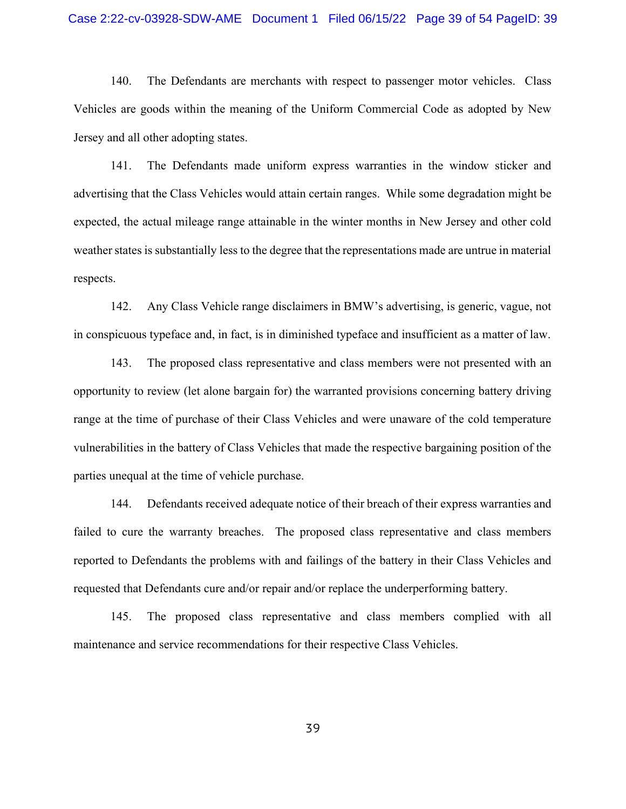#### Case 2:22-cv-03928-SDW-AME Document 1 Filed 06/15/22 Page 39 of 54 PageID: 39

140. The Defendants are merchants with respect to passenger motor vehicles. Class Vehicles are goods within the meaning of the Uniform Commercial Code as adopted by New Jersey and all other adopting states.

141. The Defendants made uniform express warranties in the window sticker and advertising that the Class Vehicles would attain certain ranges. While some degradation might be expected, the actual mileage range attainable in the winter months in New Jersey and other cold weather states is substantially less to the degree that the representations made are untrue in material respects.

142. Any Class Vehicle range disclaimers in BMW's advertising, is generic, vague, not in conspicuous typeface and, in fact, is in diminished typeface and insufficient as a matter of law.

143. The proposed class representative and class members were not presented with an opportunity to review (let alone bargain for) the warranted provisions concerning battery driving range at the time of purchase of their Class Vehicles and were unaware of the cold temperature vulnerabilities in the battery of Class Vehicles that made the respective bargaining position of the parties unequal at the time of vehicle purchase.

144. Defendants received adequate notice of their breach of their express warranties and failed to cure the warranty breaches. The proposed class representative and class members reported to Defendants the problems with and failings of the battery in their Class Vehicles and requested that Defendants cure and/or repair and/or replace the underperforming battery.

145. The proposed class representative and class members complied with all maintenance and service recommendations for their respective Class Vehicles.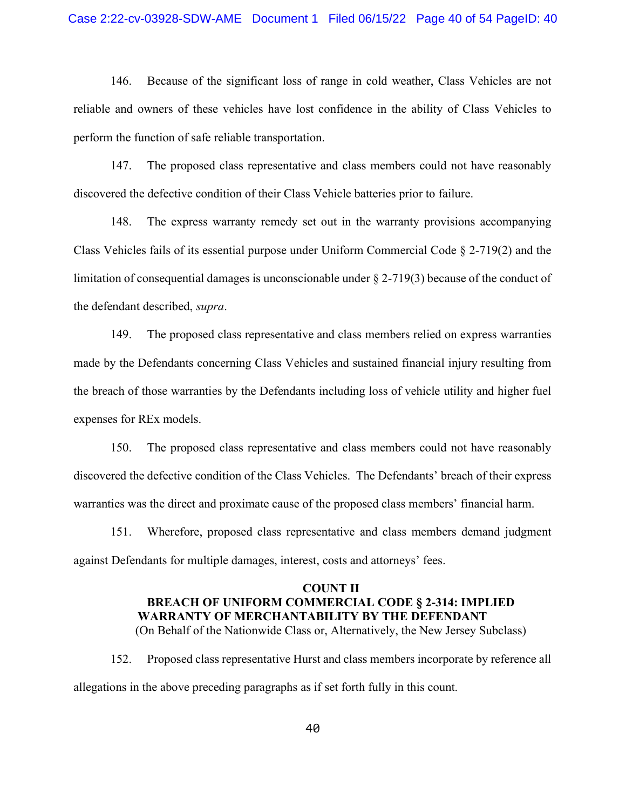146. Because of the significant loss of range in cold weather, Class Vehicles are not reliable and owners of these vehicles have lost confidence in the ability of Class Vehicles to perform the function of safe reliable transportation.

147. The proposed class representative and class members could not have reasonably discovered the defective condition of their Class Vehicle batteries prior to failure.

148. The express warranty remedy set out in the warranty provisions accompanying Class Vehicles fails of its essential purpose under Uniform Commercial Code § 2-719(2) and the limitation of consequential damages is unconscionable under § 2-719(3) because of the conduct of the defendant described, supra.

149. The proposed class representative and class members relied on express warranties made by the Defendants concerning Class Vehicles and sustained financial injury resulting from the breach of those warranties by the Defendants including loss of vehicle utility and higher fuel expenses for REx models.

150. The proposed class representative and class members could not have reasonably discovered the defective condition of the Class Vehicles. The Defendants' breach of their express warranties was the direct and proximate cause of the proposed class members' financial harm.

151. Wherefore, proposed class representative and class members demand judgment against Defendants for multiple damages, interest, costs and attorneys' fees.

## COUNT II BREACH OF UNIFORM COMMERCIAL CODE § 2-314: IMPLIED WARRANTY OF MERCHANTABILITY BY THE DEFENDANT (On Behalf of the Nationwide Class or, Alternatively, the New Jersey Subclass)

152. Proposed class representative Hurst and class members incorporate by reference all allegations in the above preceding paragraphs as if set forth fully in this count.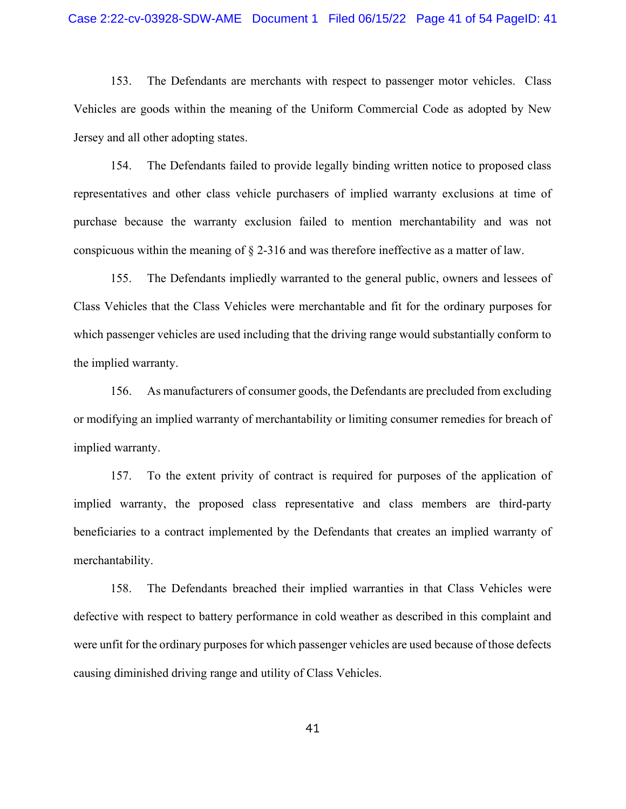#### Case 2:22-cv-03928-SDW-AME Document 1 Filed 06/15/22 Page 41 of 54 PageID: 41

153. The Defendants are merchants with respect to passenger motor vehicles. Class Vehicles are goods within the meaning of the Uniform Commercial Code as adopted by New Jersey and all other adopting states.

154. The Defendants failed to provide legally binding written notice to proposed class representatives and other class vehicle purchasers of implied warranty exclusions at time of purchase because the warranty exclusion failed to mention merchantability and was not conspicuous within the meaning of § 2-316 and was therefore ineffective as a matter of law.

155. The Defendants impliedly warranted to the general public, owners and lessees of Class Vehicles that the Class Vehicles were merchantable and fit for the ordinary purposes for which passenger vehicles are used including that the driving range would substantially conform to the implied warranty.

156. As manufacturers of consumer goods, the Defendants are precluded from excluding or modifying an implied warranty of merchantability or limiting consumer remedies for breach of implied warranty.

157. To the extent privity of contract is required for purposes of the application of implied warranty, the proposed class representative and class members are third-party beneficiaries to a contract implemented by the Defendants that creates an implied warranty of merchantability.

158. The Defendants breached their implied warranties in that Class Vehicles were defective with respect to battery performance in cold weather as described in this complaint and were unfit for the ordinary purposes for which passenger vehicles are used because of those defects causing diminished driving range and utility of Class Vehicles.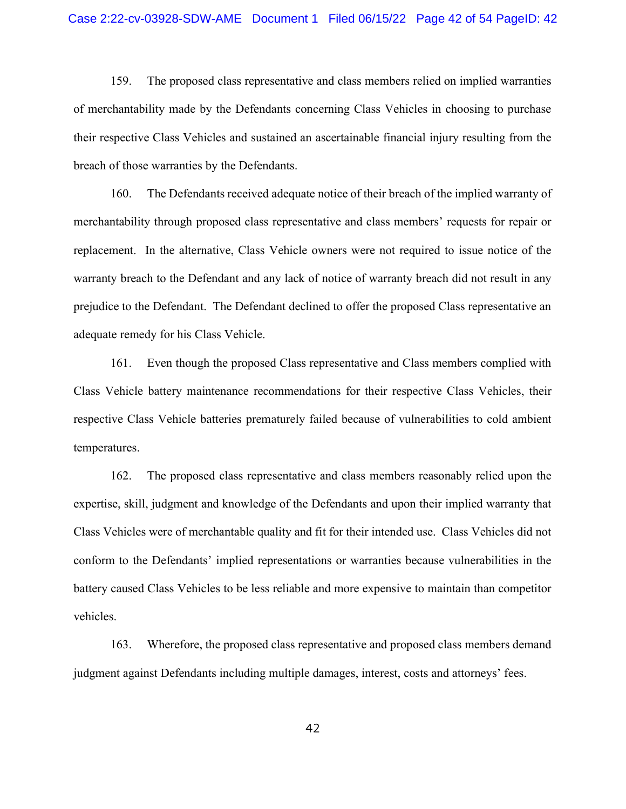159. The proposed class representative and class members relied on implied warranties of merchantability made by the Defendants concerning Class Vehicles in choosing to purchase their respective Class Vehicles and sustained an ascertainable financial injury resulting from the breach of those warranties by the Defendants.

160. The Defendants received adequate notice of their breach of the implied warranty of merchantability through proposed class representative and class members' requests for repair or replacement. In the alternative, Class Vehicle owners were not required to issue notice of the warranty breach to the Defendant and any lack of notice of warranty breach did not result in any prejudice to the Defendant. The Defendant declined to offer the proposed Class representative an adequate remedy for his Class Vehicle.

161. Even though the proposed Class representative and Class members complied with Class Vehicle battery maintenance recommendations for their respective Class Vehicles, their respective Class Vehicle batteries prematurely failed because of vulnerabilities to cold ambient temperatures.

162. The proposed class representative and class members reasonably relied upon the expertise, skill, judgment and knowledge of the Defendants and upon their implied warranty that Class Vehicles were of merchantable quality and fit for their intended use. Class Vehicles did not conform to the Defendants' implied representations or warranties because vulnerabilities in the battery caused Class Vehicles to be less reliable and more expensive to maintain than competitor vehicles.

163. Wherefore, the proposed class representative and proposed class members demand judgment against Defendants including multiple damages, interest, costs and attorneys' fees.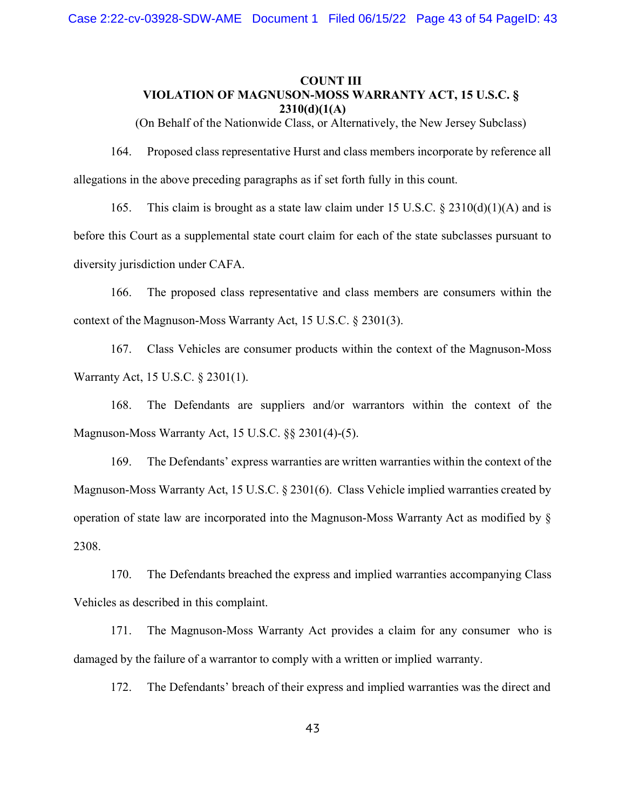# COUNT III VIOLATION OF MAGNUSON-MOSS WARRANTY ACT, 15 U.S.C. §  $2310(d)(1(A))$

(On Behalf of the Nationwide Class, or Alternatively, the New Jersey Subclass)

164. Proposed class representative Hurst and class members incorporate by reference all allegations in the above preceding paragraphs as if set forth fully in this count.

165. This claim is brought as a state law claim under 15 U.S.C.  $\S 2310(d)(1)(A)$  and is before this Court as a supplemental state court claim for each of the state subclasses pursuant to diversity jurisdiction under CAFA.

166. The proposed class representative and class members are consumers within the context of the Magnuson-Moss Warranty Act, 15 U.S.C. § 2301(3).

167. Class Vehicles are consumer products within the context of the Magnuson-Moss Warranty Act, 15 U.S.C. § 2301(1).

168. The Defendants are suppliers and/or warrantors within the context of the Magnuson-Moss Warranty Act, 15 U.S.C. §§ 2301(4)-(5).

169. The Defendants' express warranties are written warranties within the context of the Magnuson-Moss Warranty Act, 15 U.S.C. § 2301(6). Class Vehicle implied warranties created by operation of state law are incorporated into the Magnuson-Moss Warranty Act as modified by § 2308.

170. The Defendants breached the express and implied warranties accompanying Class Vehicles as described in this complaint.

171. The Magnuson-Moss Warranty Act provides a claim for any consumer who is damaged by the failure of a warrantor to comply with a written or implied warranty.

172. The Defendants' breach of their express and implied warranties was the direct and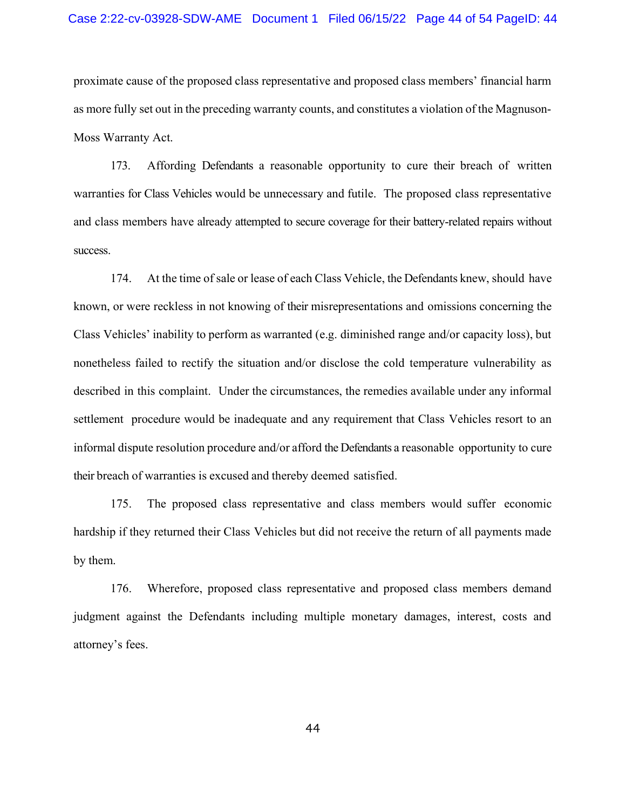#### Case 2:22-cv-03928-SDW-AME Document 1 Filed 06/15/22 Page 44 of 54 PageID: 44

proximate cause of the proposed class representative and proposed class members' financial harm as more fully set out in the preceding warranty counts, and constitutes a violation of the Magnuson-Moss Warranty Act.

173. Affording Defendants a reasonable opportunity to cure their breach of written warranties for Class Vehicles would be unnecessary and futile. The proposed class representative and class members have already attempted to secure coverage for their battery-related repairs without success.

174. At the time of sale or lease of each Class Vehicle, the Defendants knew, should have known, or were reckless in not knowing of their misrepresentations and omissions concerning the Class Vehicles' inability to perform as warranted (e.g. diminished range and/or capacity loss), but nonetheless failed to rectify the situation and/or disclose the cold temperature vulnerability as described in this complaint. Under the circumstances, the remedies available under any informal settlement procedure would be inadequate and any requirement that Class Vehicles resort to an informal dispute resolution procedure and/or afford the Defendants a reasonable opportunity to cure their breach of warranties is excused and thereby deemed satisfied.

175. The proposed class representative and class members would suffer economic hardship if they returned their Class Vehicles but did not receive the return of all payments made by them.

176. Wherefore, proposed class representative and proposed class members demand judgment against the Defendants including multiple monetary damages, interest, costs and attorney's fees.

44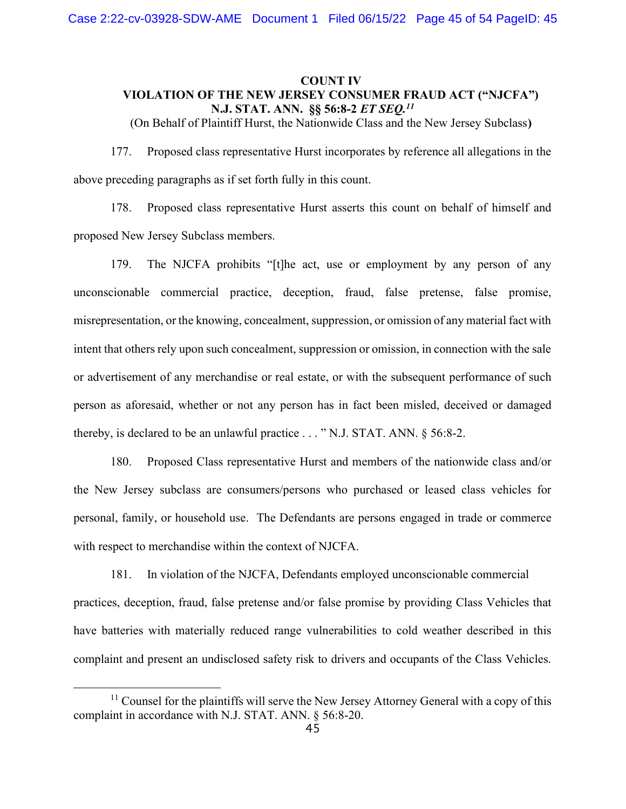# COUNT IV VIOLATION OF THE NEW JERSEY CONSUMER FRAUD ACT ("NJCFA") N.J. STAT. ANN. §§ 56:8-2 *ET SEQ.<sup>11</sup>*

(On Behalf of Plaintiff Hurst, the Nationwide Class and the New Jersey Subclass)

177. Proposed class representative Hurst incorporates by reference all allegations in the above preceding paragraphs as if set forth fully in this count.

178. Proposed class representative Hurst asserts this count on behalf of himself and proposed New Jersey Subclass members.

179. The NJCFA prohibits "[t]he act, use or employment by any person of any unconscionable commercial practice, deception, fraud, false pretense, false promise, misrepresentation, or the knowing, concealment, suppression, or omission of any material fact with intent that others rely upon such concealment, suppression or omission, in connection with the sale or advertisement of any merchandise or real estate, or with the subsequent performance of such person as aforesaid, whether or not any person has in fact been misled, deceived or damaged thereby, is declared to be an unlawful practice . . . " N.J. STAT. ANN. § 56:8-2.

180. Proposed Class representative Hurst and members of the nationwide class and/or the New Jersey subclass are consumers/persons who purchased or leased class vehicles for personal, family, or household use. The Defendants are persons engaged in trade or commerce with respect to merchandise within the context of NJCFA.

181. In violation of the NJCFA, Defendants employed unconscionable commercial practices, deception, fraud, false pretense and/or false promise by providing Class Vehicles that have batteries with materially reduced range vulnerabilities to cold weather described in this complaint and present an undisclosed safety risk to drivers and occupants of the Class Vehicles.

 $11$  Counsel for the plaintiffs will serve the New Jersey Attorney General with a copy of this complaint in accordance with N.J. STAT. ANN. § 56:8-20.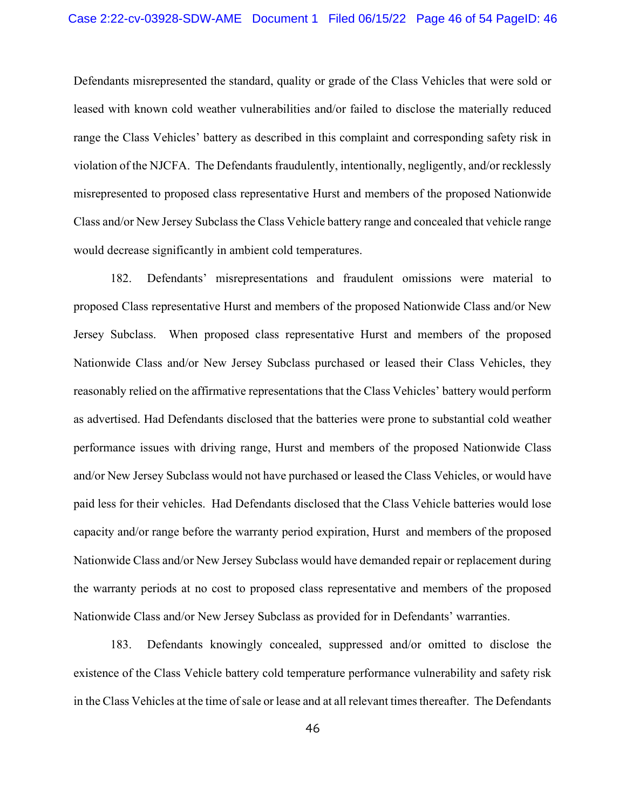Defendants misrepresented the standard, quality or grade of the Class Vehicles that were sold or leased with known cold weather vulnerabilities and/or failed to disclose the materially reduced range the Class Vehicles' battery as described in this complaint and corresponding safety risk in violation of the NJCFA. The Defendants fraudulently, intentionally, negligently, and/or recklessly misrepresented to proposed class representative Hurst and members of the proposed Nationwide Class and/or New Jersey Subclass the Class Vehicle battery range and concealed that vehicle range would decrease significantly in ambient cold temperatures.

182. Defendants' misrepresentations and fraudulent omissions were material to proposed Class representative Hurst and members of the proposed Nationwide Class and/or New Jersey Subclass. When proposed class representative Hurst and members of the proposed Nationwide Class and/or New Jersey Subclass purchased or leased their Class Vehicles, they reasonably relied on the affirmative representations that the Class Vehicles' battery would perform as advertised. Had Defendants disclosed that the batteries were prone to substantial cold weather performance issues with driving range, Hurst and members of the proposed Nationwide Class and/or New Jersey Subclass would not have purchased or leased the Class Vehicles, or would have paid less for their vehicles. Had Defendants disclosed that the Class Vehicle batteries would lose capacity and/or range before the warranty period expiration, Hurst and members of the proposed Nationwide Class and/or New Jersey Subclass would have demanded repair or replacement during the warranty periods at no cost to proposed class representative and members of the proposed Nationwide Class and/or New Jersey Subclass as provided for in Defendants' warranties.

183. Defendants knowingly concealed, suppressed and/or omitted to disclose the existence of the Class Vehicle battery cold temperature performance vulnerability and safety risk in the Class Vehicles at the time of sale or lease and at all relevant times thereafter. The Defendants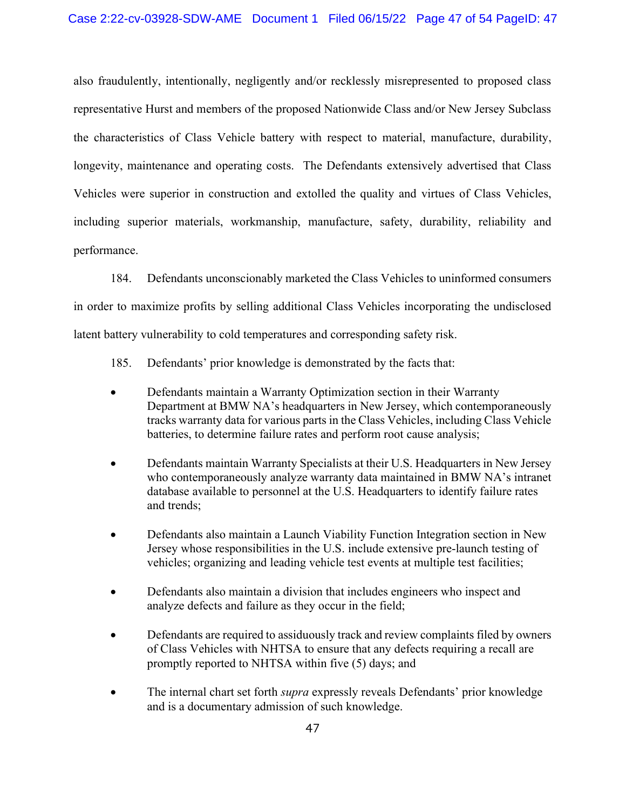also fraudulently, intentionally, negligently and/or recklessly misrepresented to proposed class representative Hurst and members of the proposed Nationwide Class and/or New Jersey Subclass the characteristics of Class Vehicle battery with respect to material, manufacture, durability, longevity, maintenance and operating costs. The Defendants extensively advertised that Class Vehicles were superior in construction and extolled the quality and virtues of Class Vehicles, including superior materials, workmanship, manufacture, safety, durability, reliability and performance.

184. Defendants unconscionably marketed the Class Vehicles to uninformed consumers in order to maximize profits by selling additional Class Vehicles incorporating the undisclosed latent battery vulnerability to cold temperatures and corresponding safety risk.

- 185. Defendants' prior knowledge is demonstrated by the facts that:
- Defendants maintain a Warranty Optimization section in their Warranty Department at BMW NA's headquarters in New Jersey, which contemporaneously tracks warranty data for various parts in the Class Vehicles, including Class Vehicle batteries, to determine failure rates and perform root cause analysis;
- Defendants maintain Warranty Specialists at their U.S. Headquarters in New Jersey who contemporaneously analyze warranty data maintained in BMW NA's intranet database available to personnel at the U.S. Headquarters to identify failure rates and trends;
- Defendants also maintain a Launch Viability Function Integration section in New Jersey whose responsibilities in the U.S. include extensive pre-launch testing of vehicles; organizing and leading vehicle test events at multiple test facilities;
- Defendants also maintain a division that includes engineers who inspect and analyze defects and failure as they occur in the field;
- Defendants are required to assiduously track and review complaints filed by owners of Class Vehicles with NHTSA to ensure that any defects requiring a recall are promptly reported to NHTSA within five (5) days; and
- The internal chart set forth supra expressly reveals Defendants' prior knowledge and is a documentary admission of such knowledge.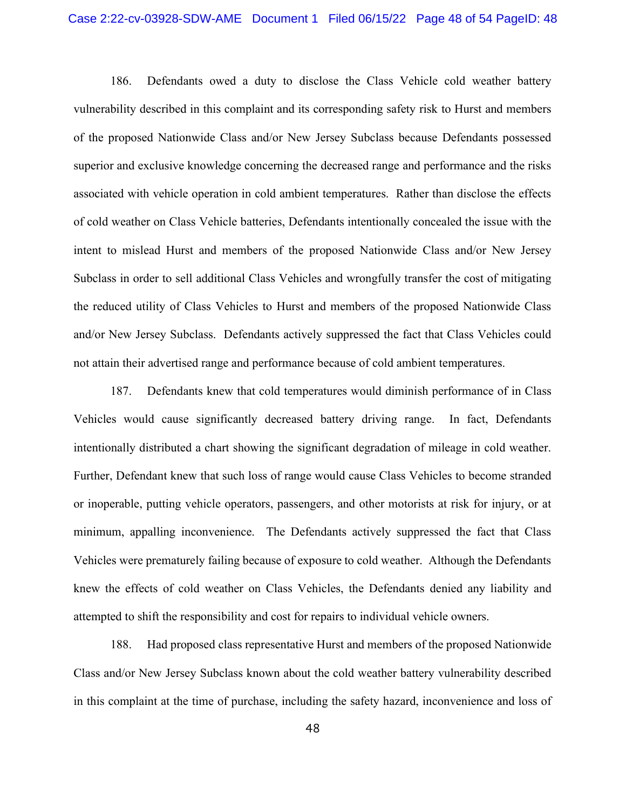186. Defendants owed a duty to disclose the Class Vehicle cold weather battery vulnerability described in this complaint and its corresponding safety risk to Hurst and members of the proposed Nationwide Class and/or New Jersey Subclass because Defendants possessed superior and exclusive knowledge concerning the decreased range and performance and the risks associated with vehicle operation in cold ambient temperatures. Rather than disclose the effects of cold weather on Class Vehicle batteries, Defendants intentionally concealed the issue with the intent to mislead Hurst and members of the proposed Nationwide Class and/or New Jersey Subclass in order to sell additional Class Vehicles and wrongfully transfer the cost of mitigating the reduced utility of Class Vehicles to Hurst and members of the proposed Nationwide Class and/or New Jersey Subclass. Defendants actively suppressed the fact that Class Vehicles could not attain their advertised range and performance because of cold ambient temperatures.

187. Defendants knew that cold temperatures would diminish performance of in Class Vehicles would cause significantly decreased battery driving range. In fact, Defendants intentionally distributed a chart showing the significant degradation of mileage in cold weather. Further, Defendant knew that such loss of range would cause Class Vehicles to become stranded or inoperable, putting vehicle operators, passengers, and other motorists at risk for injury, or at minimum, appalling inconvenience. The Defendants actively suppressed the fact that Class Vehicles were prematurely failing because of exposure to cold weather. Although the Defendants knew the effects of cold weather on Class Vehicles, the Defendants denied any liability and attempted to shift the responsibility and cost for repairs to individual vehicle owners.

188. Had proposed class representative Hurst and members of the proposed Nationwide Class and/or New Jersey Subclass known about the cold weather battery vulnerability described in this complaint at the time of purchase, including the safety hazard, inconvenience and loss of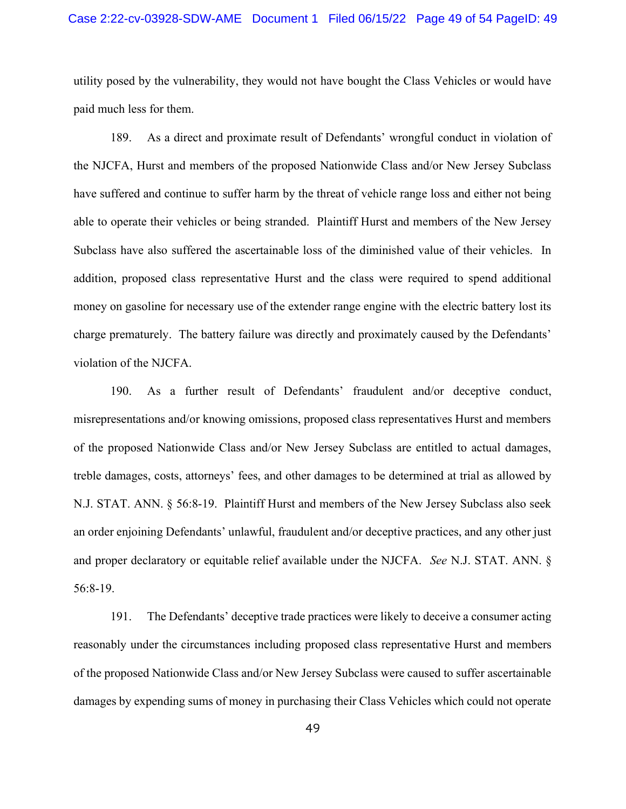#### Case 2:22-cv-03928-SDW-AME Document 1 Filed 06/15/22 Page 49 of 54 PageID: 49

utility posed by the vulnerability, they would not have bought the Class Vehicles or would have paid much less for them.

189. As a direct and proximate result of Defendants' wrongful conduct in violation of the NJCFA, Hurst and members of the proposed Nationwide Class and/or New Jersey Subclass have suffered and continue to suffer harm by the threat of vehicle range loss and either not being able to operate their vehicles or being stranded. Plaintiff Hurst and members of the New Jersey Subclass have also suffered the ascertainable loss of the diminished value of their vehicles. In addition, proposed class representative Hurst and the class were required to spend additional money on gasoline for necessary use of the extender range engine with the electric battery lost its charge prematurely. The battery failure was directly and proximately caused by the Defendants' violation of the NJCFA.

190. As a further result of Defendants' fraudulent and/or deceptive conduct, misrepresentations and/or knowing omissions, proposed class representatives Hurst and members of the proposed Nationwide Class and/or New Jersey Subclass are entitled to actual damages, treble damages, costs, attorneys' fees, and other damages to be determined at trial as allowed by N.J. STAT. ANN. § 56:8-19. Plaintiff Hurst and members of the New Jersey Subclass also seek an order enjoining Defendants' unlawful, fraudulent and/or deceptive practices, and any other just and proper declaratory or equitable relief available under the NJCFA. See N.J. STAT. ANN. § 56:8-19.

191. The Defendants' deceptive trade practices were likely to deceive a consumer acting reasonably under the circumstances including proposed class representative Hurst and members of the proposed Nationwide Class and/or New Jersey Subclass were caused to suffer ascertainable damages by expending sums of money in purchasing their Class Vehicles which could not operate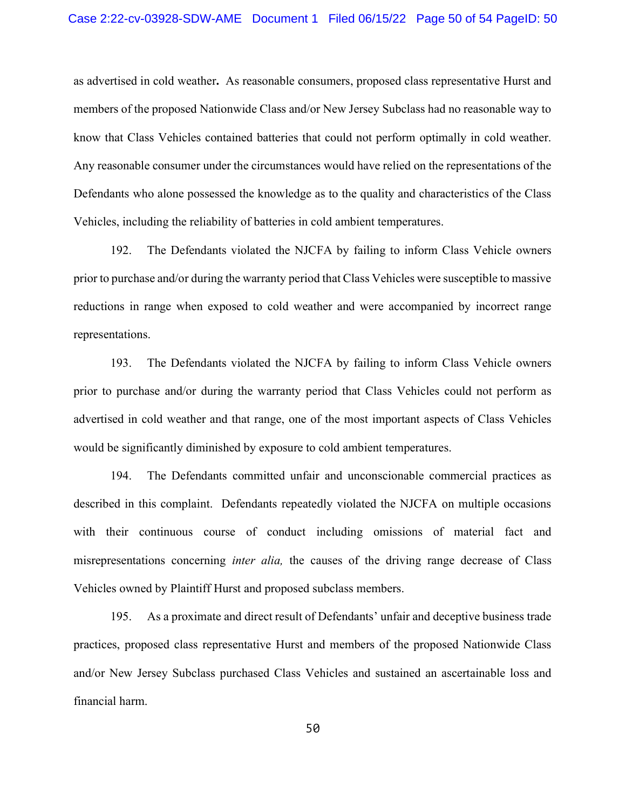as advertised in cold weather. As reasonable consumers, proposed class representative Hurst and members of the proposed Nationwide Class and/or New Jersey Subclass had no reasonable way to know that Class Vehicles contained batteries that could not perform optimally in cold weather. Any reasonable consumer under the circumstances would have relied on the representations of the Defendants who alone possessed the knowledge as to the quality and characteristics of the Class Vehicles, including the reliability of batteries in cold ambient temperatures.

192. The Defendants violated the NJCFA by failing to inform Class Vehicle owners prior to purchase and/or during the warranty period that Class Vehicles were susceptible to massive reductions in range when exposed to cold weather and were accompanied by incorrect range representations.

193. The Defendants violated the NJCFA by failing to inform Class Vehicle owners prior to purchase and/or during the warranty period that Class Vehicles could not perform as advertised in cold weather and that range, one of the most important aspects of Class Vehicles would be significantly diminished by exposure to cold ambient temperatures.

194. The Defendants committed unfair and unconscionable commercial practices as described in this complaint. Defendants repeatedly violated the NJCFA on multiple occasions with their continuous course of conduct including omissions of material fact and misrepresentations concerning *inter alia*, the causes of the driving range decrease of Class Vehicles owned by Plaintiff Hurst and proposed subclass members.

195. As a proximate and direct result of Defendants' unfair and deceptive business trade practices, proposed class representative Hurst and members of the proposed Nationwide Class and/or New Jersey Subclass purchased Class Vehicles and sustained an ascertainable loss and financial harm.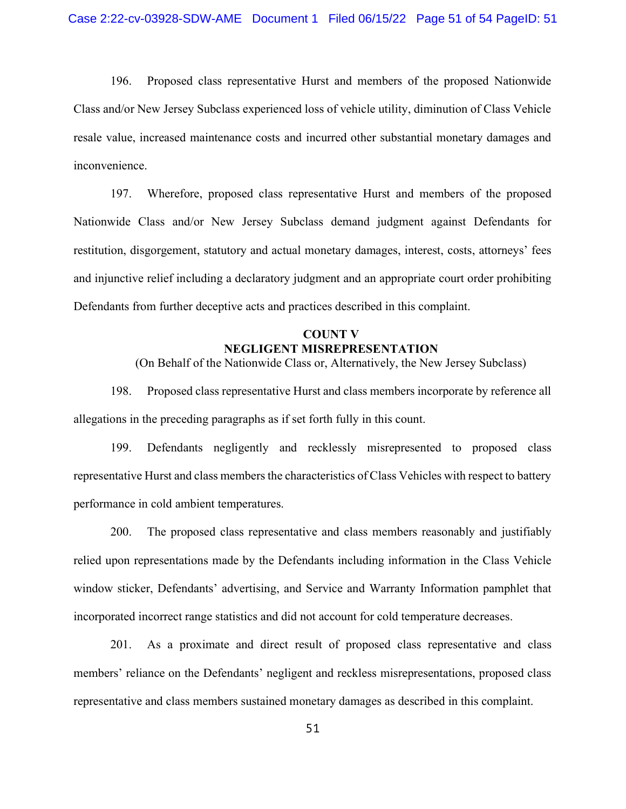196. Proposed class representative Hurst and members of the proposed Nationwide Class and/or New Jersey Subclass experienced loss of vehicle utility, diminution of Class Vehicle resale value, increased maintenance costs and incurred other substantial monetary damages and inconvenience.

197. Wherefore, proposed class representative Hurst and members of the proposed Nationwide Class and/or New Jersey Subclass demand judgment against Defendants for restitution, disgorgement, statutory and actual monetary damages, interest, costs, attorneys' fees and injunctive relief including a declaratory judgment and an appropriate court order prohibiting Defendants from further deceptive acts and practices described in this complaint.

## COUNT V NEGLIGENT MISREPRESENTATION

(On Behalf of the Nationwide Class or, Alternatively, the New Jersey Subclass)

198. Proposed class representative Hurst and class members incorporate by reference all allegations in the preceding paragraphs as if set forth fully in this count.

199. Defendants negligently and recklessly misrepresented to proposed class representative Hurst and class members the characteristics of Class Vehicles with respect to battery performance in cold ambient temperatures.

200. The proposed class representative and class members reasonably and justifiably relied upon representations made by the Defendants including information in the Class Vehicle window sticker, Defendants' advertising, and Service and Warranty Information pamphlet that incorporated incorrect range statistics and did not account for cold temperature decreases.

201. As a proximate and direct result of proposed class representative and class members' reliance on the Defendants' negligent and reckless misrepresentations, proposed class representative and class members sustained monetary damages as described in this complaint.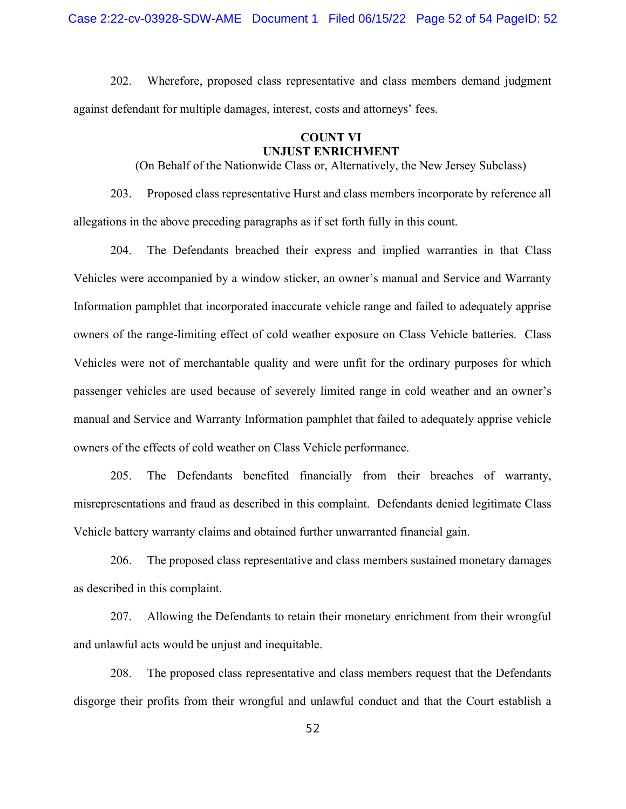202. Wherefore, proposed class representative and class members demand judgment against defendant for multiple damages, interest, costs and attorneys' fees.

## COUNT VI UNJUST ENRICHMENT

(On Behalf of the Nationwide Class or, Alternatively, the New Jersey Subclass)

203. Proposed class representative Hurst and class members incorporate by reference all allegations in the above preceding paragraphs as if set forth fully in this count.

204. The Defendants breached their express and implied warranties in that Class Vehicles were accompanied by a window sticker, an owner's manual and Service and Warranty Information pamphlet that incorporated inaccurate vehicle range and failed to adequately apprise owners of the range-limiting effect of cold weather exposure on Class Vehicle batteries. Class Vehicles were not of merchantable quality and were unfit for the ordinary purposes for which passenger vehicles are used because of severely limited range in cold weather and an owner's manual and Service and Warranty Information pamphlet that failed to adequately apprise vehicle owners of the effects of cold weather on Class Vehicle performance.

205. The Defendants benefited financially from their breaches of warranty, misrepresentations and fraud as described in this complaint. Defendants denied legitimate Class Vehicle battery warranty claims and obtained further unwarranted financial gain.

206. The proposed class representative and class members sustained monetary damages as described in this complaint.

207. Allowing the Defendants to retain their monetary enrichment from their wrongful and unlawful acts would be unjust and inequitable.

208. The proposed class representative and class members request that the Defendants disgorge their profits from their wrongful and unlawful conduct and that the Court establish a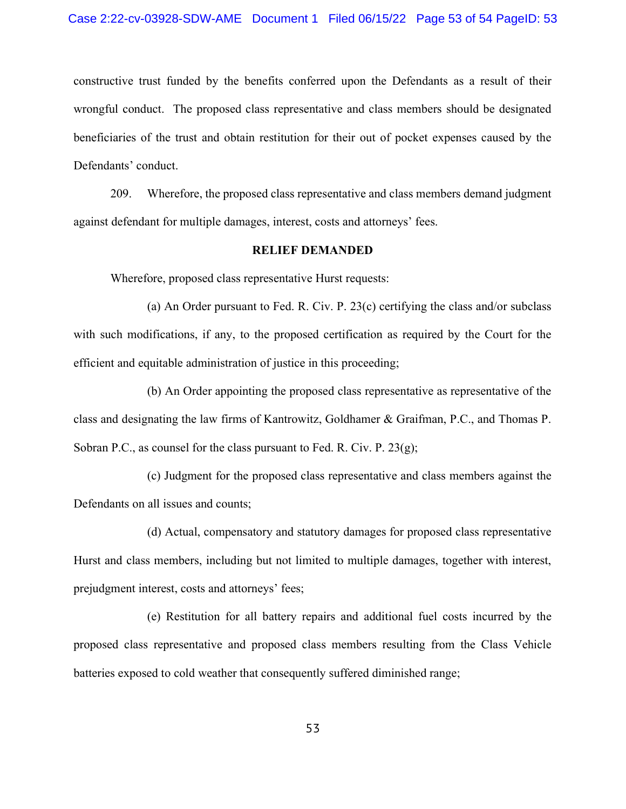constructive trust funded by the benefits conferred upon the Defendants as a result of their wrongful conduct. The proposed class representative and class members should be designated beneficiaries of the trust and obtain restitution for their out of pocket expenses caused by the Defendants' conduct.

209. Wherefore, the proposed class representative and class members demand judgment against defendant for multiple damages, interest, costs and attorneys' fees.

#### RELIEF DEMANDED

Wherefore, proposed class representative Hurst requests:

 (a) An Order pursuant to Fed. R. Civ. P. 23(c) certifying the class and/or subclass with such modifications, if any, to the proposed certification as required by the Court for the efficient and equitable administration of justice in this proceeding;

 (b) An Order appointing the proposed class representative as representative of the class and designating the law firms of Kantrowitz, Goldhamer & Graifman, P.C., and Thomas P. Sobran P.C., as counsel for the class pursuant to Fed. R. Civ. P. 23(g);

 (c) Judgment for the proposed class representative and class members against the Defendants on all issues and counts;

 (d) Actual, compensatory and statutory damages for proposed class representative Hurst and class members, including but not limited to multiple damages, together with interest, prejudgment interest, costs and attorneys' fees;

 (e) Restitution for all battery repairs and additional fuel costs incurred by the proposed class representative and proposed class members resulting from the Class Vehicle batteries exposed to cold weather that consequently suffered diminished range;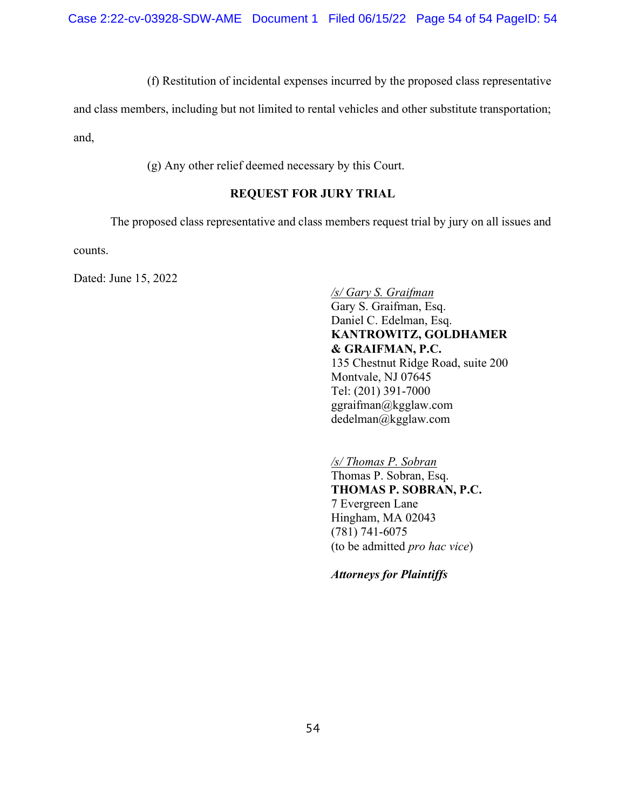(f) Restitution of incidental expenses incurred by the proposed class representative

and class members, including but not limited to rental vehicles and other substitute transportation; and,

(g) Any other relief deemed necessary by this Court.

# REQUEST FOR JURY TRIAL

The proposed class representative and class members request trial by jury on all issues and

counts.

Dated: June 15, 2022

/s/ Gary S. Graifman Gary S. Graifman, Esq. Daniel C. Edelman, Esq. KANTROWITZ, GOLDHAMER & GRAIFMAN, P.C. 135 Chestnut Ridge Road, suite 200 Montvale, NJ 07645 Tel: (201) 391-7000 ggraifman@kgglaw.com dedelman@kgglaw.com

/s/ Thomas P. Sobran Thomas P. Sobran, Esq. THOMAS P. SOBRAN, P.C. 7 Evergreen Lane Hingham, MA 02043 (781) 741-6075 (to be admitted pro hac vice)

Attorneys for Plaintiffs